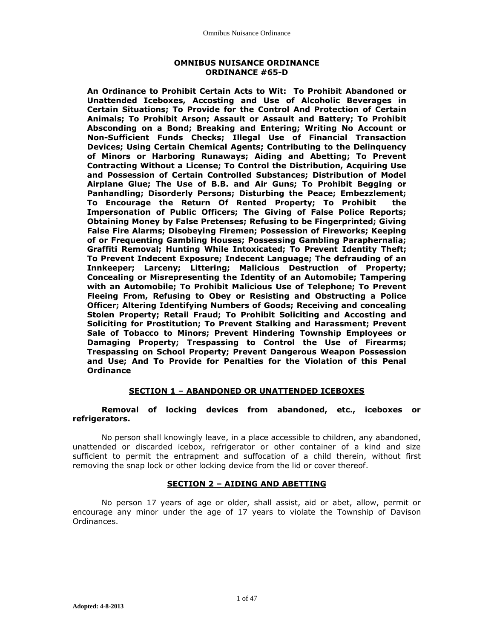#### **OMNIBUS NUISANCE ORDINANCE ORDINANCE #65-D**

**An Ordinance to Prohibit Certain Acts to Wit: To Prohibit Abandoned or Unattended Iceboxes, Accosting and Use of Alcoholic Beverages in Certain Situations; To Provide for the Control And Protection of Certain Animals; To Prohibit Arson; Assault or Assault and Battery; To Prohibit Absconding on a Bond; Breaking and Entering; Writing No Account or Non-Sufficient Funds Checks; Illegal Use of Financial Transaction Devices; Using Certain Chemical Agents; Contributing to the Delinquency of Minors or Harboring Runaways; Aiding and Abetting; To Prevent Contracting Without a License; To Control the Distribution, Acquiring Use and Possession of Certain Controlled Substances; Distribution of Model Airplane Glue; The Use of B.B. and Air Guns; To Prohibit Begging or Panhandling; Disorderly Persons; Disturbing the Peace; Embezzlement; To Encourage the Return Of Rented Property; To Prohibit the Impersonation of Public Officers; The Giving of False Police Reports; Obtaining Money by False Pretenses; Refusing to be Fingerprinted; Giving False Fire Alarms; Disobeying Firemen; Possession of Fireworks; Keeping of or Frequenting Gambling Houses; Possessing Gambling Paraphernalia; Graffiti Removal; Hunting While Intoxicated; To Prevent Identity Theft; To Prevent Indecent Exposure; Indecent Language; The defrauding of an Innkeeper; Larceny; Littering; Malicious Destruction of Property; Concealing or Misrepresenting the Identity of an Automobile; Tampering with an Automobile; To Prohibit Malicious Use of Telephone; To Prevent Fleeing From, Refusing to Obey or Resisting and Obstructing a Police Officer; Altering Identifying Numbers of Goods; Receiving and concealing Stolen Property; Retail Fraud; To Prohibit Soliciting and Accosting and Soliciting for Prostitution; To Prevent Stalking and Harassment; Prevent Sale of Tobacco to Minors; Prevent Hindering Township Employees or Damaging Property; Trespassing to Control the Use of Firearms; Trespassing on School Property; Prevent Dangerous Weapon Possession and Use; And To Provide for Penalties for the Violation of this Penal Ordinance**

## **SECTION 1 – ABANDONED OR UNATTENDED ICEBOXES**

#### **Removal of locking devices from abandoned, etc., iceboxes or refrigerators.**

No person shall knowingly leave, in a place accessible to children, any abandoned, unattended or discarded icebox, refrigerator or other container of a kind and size sufficient to permit the entrapment and suffocation of a child therein, without first removing the snap lock or other locking device from the lid or cover thereof.

### **SECTION 2 – AIDING AND ABETTING**

No person 17 years of age or older, shall assist, aid or abet, allow, permit or encourage any minor under the age of 17 years to violate the Township of Davison Ordinances.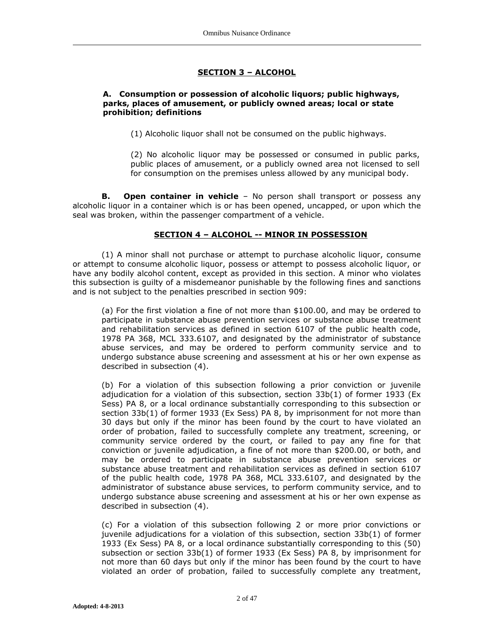# **SECTION 3 – ALCOHOL**

## **A. Consumption or possession of alcoholic liquors; public highways, parks, places of amusement, or publicly owned areas; local or state prohibition; definitions**

(1) Alcoholic liquor shall not be consumed on the public highways.

(2) No alcoholic liquor may be possessed or consumed in public parks, public places of amusement, or a publicly owned area not licensed to sell for consumption on the premises unless allowed by any municipal body.

**B.** Open container in vehicle – No person shall transport or possess any alcoholic liquor in a container which is or has been opened, uncapped, or upon which the seal was broken, within the passenger compartment of a vehicle.

## **SECTION 4 – ALCOHOL -- MINOR IN POSSESSION**

(1) A minor shall not purchase or attempt to purchase alcoholic liquor, consume or attempt to consume alcoholic liquor, possess or attempt to possess alcoholic liquor, or have any bodily alcohol content, except as provided in this section. A minor who violates this subsection is guilty of a misdemeanor punishable by the following fines and sanctions and is not subject to the penalties prescribed in section 909:

(a) For the first violation a fine of not more than \$100.00, and may be ordered to participate in substance abuse prevention services or substance abuse treatment and rehabilitation services as defined in section 6107 of the public health code, 1978 PA 368, MCL 333.6107, and designated by the administrator of substance abuse services, and may be ordered to perform community service and to undergo substance abuse screening and assessment at his or her own expense as described in subsection (4).

(b) For a violation of this subsection following a prior conviction or juvenile adjudication for a violation of this subsection, section 33b(1) of former 1933 (Ex Sess) PA 8, or a local ordinance substantially corresponding to this subsection or section 33b(1) of former 1933 (Ex Sess) PA 8, by imprisonment for not more than 30 days but only if the minor has been found by the court to have violated an order of probation, failed to successfully complete any treatment, screening, or community service ordered by the court, or failed to pay any fine for that conviction or juvenile adjudication, a fine of not more than \$200.00, or both, and may be ordered to participate in substance abuse prevention services or substance abuse treatment and rehabilitation services as defined in section 6107 of the public health code, 1978 PA 368, MCL 333.6107, and designated by the administrator of substance abuse services, to perform community service, and to undergo substance abuse screening and assessment at his or her own expense as described in subsection (4).

(c) For a violation of this subsection following 2 or more prior convictions or juvenile adjudications for a violation of this subsection, section 33b(1) of former 1933 (Ex Sess) PA 8, or a local ordinance substantially corresponding to this (50) subsection or section 33b(1) of former 1933 (Ex Sess) PA 8, by imprisonment for not more than 60 days but only if the minor has been found by the court to have violated an order of probation, failed to successfully complete any treatment,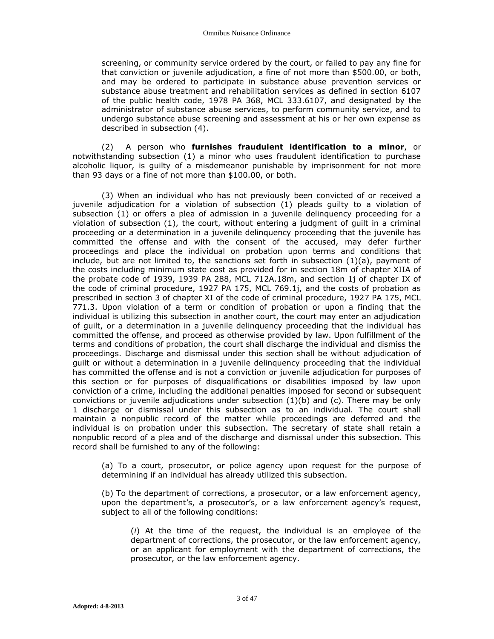screening, or community service ordered by the court, or failed to pay any fine for that conviction or juvenile adjudication, a fine of not more than \$500.00, or both, and may be ordered to participate in substance abuse prevention services or substance abuse treatment and rehabilitation services as defined in section 6107 of the public health code, 1978 PA 368, MCL 333.6107, and designated by the administrator of substance abuse services, to perform community service, and to undergo substance abuse screening and assessment at his or her own expense as described in subsection (4).

(2)A person who **furnishes fraudulent identification to a minor**, or notwithstanding subsection (1) a minor who uses fraudulent identification to purchase alcoholic liquor, is guilty of a misdemeanor punishable by imprisonment for not more than 93 days or a fine of not more than \$100.00, or both.

(3) When an individual who has not previously been convicted of or received a juvenile adjudication for a violation of subsection (1) pleads guilty to a violation of subsection (1) or offers a plea of admission in a juvenile delinquency proceeding for a violation of subsection (1), the court, without entering a judgment of guilt in a criminal proceeding or a determination in a juvenile delinquency proceeding that the juvenile has committed the offense and with the consent of the accused, may defer further proceedings and place the individual on probation upon terms and conditions that include, but are not limited to, the sanctions set forth in subsection  $(1)(a)$ , payment of the costs including minimum state cost as provided for in section 18m of chapter XIIA of the probate code of 1939, 1939 PA 288, MCL 712A.18m, and section 1j of chapter IX of the code of criminal procedure, 1927 PA 175, MCL 769.1j, and the costs of probation as prescribed in section 3 of chapter XI of the code of criminal procedure, 1927 PA 175, MCL 771.3. Upon violation of a term or condition of probation or upon a finding that the individual is utilizing this subsection in another court, the court may enter an adjudication of guilt, or a determination in a juvenile delinquency proceeding that the individual has committed the offense, and proceed as otherwise provided by law. Upon fulfillment of the terms and conditions of probation, the court shall discharge the individual and dismiss the proceedings. Discharge and dismissal under this section shall be without adjudication of guilt or without a determination in a juvenile delinquency proceeding that the individual has committed the offense and is not a conviction or juvenile adjudication for purposes of this section or for purposes of disqualifications or disabilities imposed by law upon conviction of a crime, including the additional penalties imposed for second or subsequent convictions or juvenile adjudications under subsection (1)(b) and (c). There may be only 1 discharge or dismissal under this subsection as to an individual. The court shall maintain a nonpublic record of the matter while proceedings are deferred and the individual is on probation under this subsection. The secretary of state shall retain a nonpublic record of a plea and of the discharge and dismissal under this subsection. This record shall be furnished to any of the following:

(a) To a court, prosecutor, or police agency upon request for the purpose of determining if an individual has already utilized this subsection.

(b) To the department of corrections, a prosecutor, or a law enforcement agency, upon the department's, a prosecutor's, or a law enforcement agency's request, subject to all of the following conditions:

(*i*) At the time of the request, the individual is an employee of the department of corrections, the prosecutor, or the law enforcement agency, or an applicant for employment with the department of corrections, the prosecutor, or the law enforcement agency.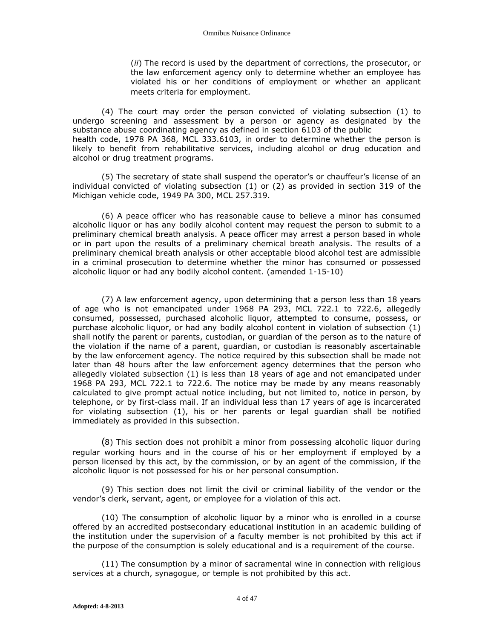(*ii*) The record is used by the department of corrections, the prosecutor, or the law enforcement agency only to determine whether an employee has violated his or her conditions of employment or whether an applicant meets criteria for employment.

(4) The court may order the person convicted of violating subsection (1) to undergo screening and assessment by a person or agency as designated by the substance abuse coordinating agency as defined in section 6103 of the public health code, 1978 PA 368, MCL 333.6103, in order to determine whether the person is likely to benefit from rehabilitative services, including alcohol or drug education and alcohol or drug treatment programs.

(5) The secretary of state shall suspend the operator's or chauffeur's license of an individual convicted of violating subsection (1) or (2) as provided in section 319 of the Michigan vehicle code, 1949 PA 300, MCL 257.319.

(6) A peace officer who has reasonable cause to believe a minor has consumed alcoholic liquor or has any bodily alcohol content may request the person to submit to a preliminary chemical breath analysis. A peace officer may arrest a person based in whole or in part upon the results of a preliminary chemical breath analysis. The results of a preliminary chemical breath analysis or other acceptable blood alcohol test are admissible in a criminal prosecution to determine whether the minor has consumed or possessed alcoholic liquor or had any bodily alcohol content. (amended 1-15-10)

(7) A law enforcement agency, upon determining that a person less than 18 years of age who is not emancipated under 1968 PA 293, MCL 722.1 to 722.6, allegedly consumed, possessed, purchased alcoholic liquor, attempted to consume, possess, or purchase alcoholic liquor, or had any bodily alcohol content in violation of subsection (1) shall notify the parent or parents, custodian, or guardian of the person as to the nature of the violation if the name of a parent, guardian, or custodian is reasonably ascertainable by the law enforcement agency. The notice required by this subsection shall be made not later than 48 hours after the law enforcement agency determines that the person who allegedly violated subsection (1) is less than 18 years of age and not emancipated under 1968 PA 293, MCL 722.1 to 722.6. The notice may be made by any means reasonably calculated to give prompt actual notice including, but not limited to, notice in person, by telephone, or by first-class mail. If an individual less than 17 years of age is incarcerated for violating subsection (1), his or her parents or legal guardian shall be notified immediately as provided in this subsection.

(8) This section does not prohibit a minor from possessing alcoholic liquor during regular working hours and in the course of his or her employment if employed by a person licensed by this act, by the commission, or by an agent of the commission, if the alcoholic liquor is not possessed for his or her personal consumption.

(9) This section does not limit the civil or criminal liability of the vendor or the vendor's clerk, servant, agent, or employee for a violation of this act.

(10) The consumption of alcoholic liquor by a minor who is enrolled in a course offered by an accredited postsecondary educational institution in an academic building of the institution under the supervision of a faculty member is not prohibited by this act if the purpose of the consumption is solely educational and is a requirement of the course.

(11) The consumption by a minor of sacramental wine in connection with religious services at a church, synagogue, or temple is not prohibited by this act.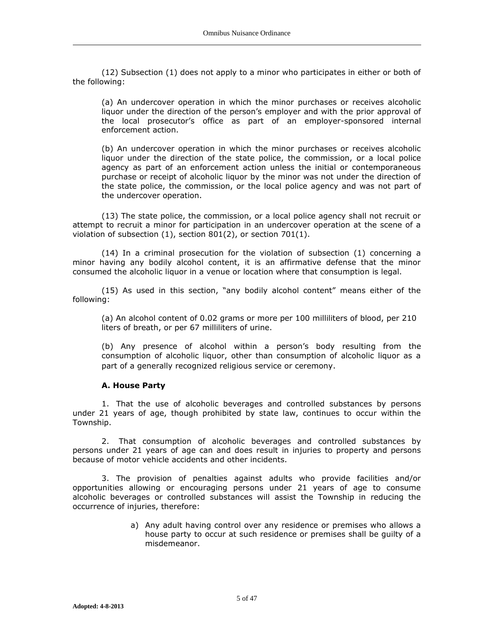(12) Subsection (1) does not apply to a minor who participates in either or both of the following:

(a) An undercover operation in which the minor purchases or receives alcoholic liquor under the direction of the person's employer and with the prior approval of the local prosecutor's office as part of an employer-sponsored internal enforcement action.

(b) An undercover operation in which the minor purchases or receives alcoholic liquor under the direction of the state police, the commission, or a local police agency as part of an enforcement action unless the initial or contemporaneous purchase or receipt of alcoholic liquor by the minor was not under the direction of the state police, the commission, or the local police agency and was not part of the undercover operation.

(13) The state police, the commission, or a local police agency shall not recruit or attempt to recruit a minor for participation in an undercover operation at the scene of a violation of subsection (1), section 801(2), or section 701(1).

(14) In a criminal prosecution for the violation of subsection (1) concerning a minor having any bodily alcohol content, it is an affirmative defense that the minor consumed the alcoholic liquor in a venue or location where that consumption is legal.

(15) As used in this section, "any bodily alcohol content" means either of the following:

(a) An alcohol content of 0.02 grams or more per 100 milliliters of blood, per 210 liters of breath, or per 67 milliliters of urine.

(b) Any presence of alcohol within a person's body resulting from the consumption of alcoholic liquor, other than consumption of alcoholic liquor as a part of a generally recognized religious service or ceremony.

### **A. House Party**

1. That the use of alcoholic beverages and controlled substances by persons under 21 years of age, though prohibited by state law, continues to occur within the Township.

2. That consumption of alcoholic beverages and controlled substances by persons under 21 years of age can and does result in injuries to property and persons because of motor vehicle accidents and other incidents.

3. The provision of penalties against adults who provide facilities and/or opportunities allowing or encouraging persons under 21 years of age to consume alcoholic beverages or controlled substances will assist the Township in reducing the occurrence of injuries, therefore:

> a) Any adult having control over any residence or premises who allows a house party to occur at such residence or premises shall be guilty of a misdemeanor.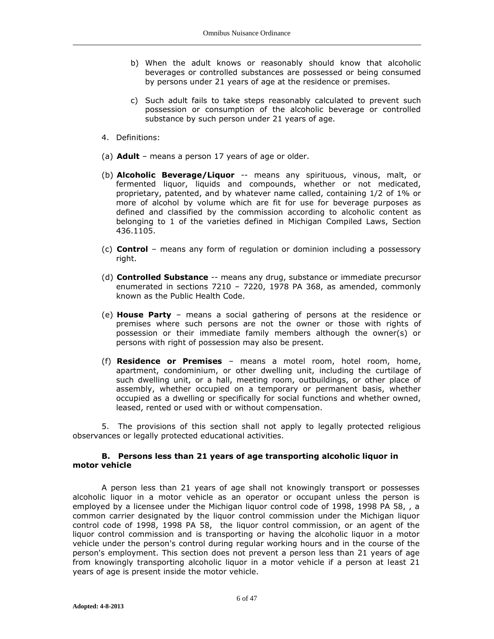- b) When the adult knows or reasonably should know that alcoholic beverages or controlled substances are possessed or being consumed by persons under 21 years of age at the residence or premises.
- c) Such adult fails to take steps reasonably calculated to prevent such possession or consumption of the alcoholic beverage or controlled substance by such person under 21 years of age.
- 4. Definitions:
- (a) **Adult** means a person 17 years of age or older.
- (b) **Alcoholic Beverage/Liquor** -- means any spirituous, vinous, malt, or fermented liquor, liquids and compounds, whether or not medicated, proprietary, patented, and by whatever name called, containing 1/2 of 1% or more of alcohol by volume which are fit for use for beverage purposes as defined and classified by the commission according to alcoholic content as belonging to 1 of the varieties defined in Michigan Compiled Laws, Section 436.1105.
- (c) **Control** means any form of regulation or dominion including a possessory right.
- (d) **Controlled Substance** -- means any drug, substance or immediate precursor enumerated in sections 7210 – 7220, 1978 PA 368, as amended, commonly known as the Public Health Code.
- (e) **House Party** means a social gathering of persons at the residence or premises where such persons are not the owner or those with rights of possession or their immediate family members although the owner(s) or persons with right of possession may also be present.
- (f) **Residence or Premises** means a motel room, hotel room, home, apartment, condominium, or other dwelling unit, including the curtilage of such dwelling unit, or a hall, meeting room, outbuildings, or other place of assembly, whether occupied on a temporary or permanent basis, whether occupied as a dwelling or specifically for social functions and whether owned, leased, rented or used with or without compensation.

5. The provisions of this section shall not apply to legally protected religious observances or legally protected educational activities.

### **B. Persons less than 21 years of age transporting alcoholic liquor in motor vehicle**

A person less than 21 years of age shall not knowingly transport or possesses alcoholic liquor in a motor vehicle as an operator or occupant unless the person is employed by a licensee under the Michigan liquor control code of 1998, 1998 PA 58, , a common carrier designated by the liquor control commission under the Michigan liquor control code of 1998, 1998 PA 58, the liquor control commission, or an agent of the liquor control commission and is transporting or having the alcoholic liquor in a motor vehicle under the person's control during regular working hours and in the course of the person's employment. This section does not prevent a person less than 21 years of age from knowingly transporting alcoholic liquor in a motor vehicle if a person at least 21 years of age is present inside the motor vehicle.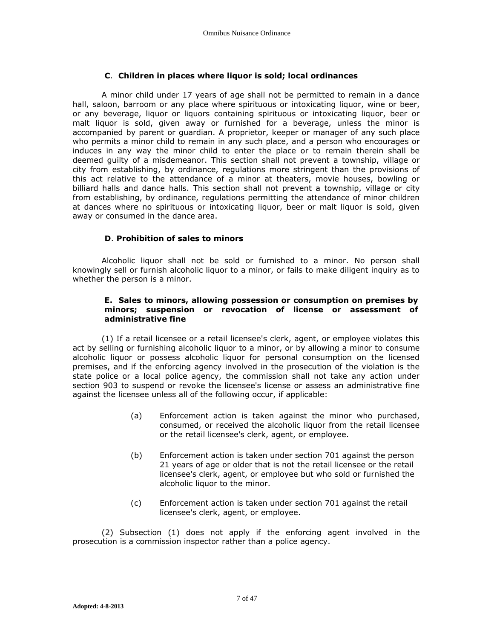# **C**. **Children in places where liquor is sold; local ordinances**

A minor child under 17 years of age shall not be permitted to remain in a dance hall, saloon, barroom or any place where spirituous or intoxicating liquor, wine or beer, or any beverage, liquor or liquors containing spirituous or intoxicating liquor, beer or malt liquor is sold, given away or furnished for a beverage, unless the minor is accompanied by parent or guardian. A proprietor, keeper or manager of any such place who permits a minor child to remain in any such place, and a person who encourages or induces in any way the minor child to enter the place or to remain therein shall be deemed guilty of a misdemeanor. This section shall not prevent a township, village or city from establishing, by ordinance, regulations more stringent than the provisions of this act relative to the attendance of a minor at theaters, movie houses, bowling or billiard halls and dance halls. This section shall not prevent a township, village or city from establishing, by ordinance, regulations permitting the attendance of minor children at dances where no spirituous or intoxicating liquor, beer or malt liquor is sold, given away or consumed in the dance area.

# **D**. **Prohibition of sales to minors**

Alcoholic liquor shall not be sold or furnished to a minor. No person shall knowingly sell or furnish alcoholic liquor to a minor, or fails to make diligent inquiry as to whether the person is a minor.

## **E. Sales to minors, allowing possession or consumption on premises by minors; suspension or revocation of license or assessment of administrative fine**

(1) If a retail licensee or a retail licensee's clerk, agent, or employee violates this act by selling or furnishing alcoholic liquor to a minor, or by allowing a minor to consume alcoholic liquor or possess alcoholic liquor for personal consumption on the licensed premises, and if the enforcing agency involved in the prosecution of the violation is the state police or a local police agency, the commission shall not take any action under section 903 to suspend or revoke the licensee's license or assess an administrative fine against the licensee unless all of the following occur, if applicable:

- (a) Enforcement action is taken against the minor who purchased, consumed, or received the alcoholic liquor from the retail licensee or the retail licensee's clerk, agent, or employee.
- (b) Enforcement action is taken under section 701 against the person 21 years of age or older that is not the retail licensee or the retail licensee's clerk, agent, or employee but who sold or furnished the alcoholic liquor to the minor.
- (c) Enforcement action is taken under section 701 against the retail licensee's clerk, agent, or employee.

(2) Subsection (1) does not apply if the enforcing agent involved in the prosecution is a commission inspector rather than a police agency.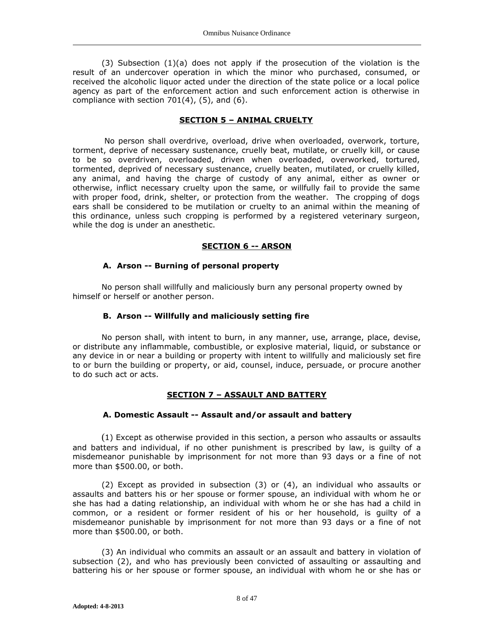(3) Subsection  $(1)(a)$  does not apply if the prosecution of the violation is the result of an undercover operation in which the minor who purchased, consumed, or received the alcoholic liquor acted under the direction of the state police or a local police agency as part of the enforcement action and such enforcement action is otherwise in compliance with section  $701(4)$ ,  $(5)$ , and  $(6)$ .

#### **SECTION 5 – ANIMAL CRUELTY**

No person shall overdrive, overload, drive when overloaded, overwork, torture, torment, deprive of necessary sustenance, cruelly beat, mutilate, or cruelly kill, or cause to be so overdriven, overloaded, driven when overloaded, overworked, tortured, tormented, deprived of necessary sustenance, cruelly beaten, mutilated, or cruelly killed, any animal, and having the charge of custody of any animal, either as owner or otherwise, inflict necessary cruelty upon the same, or willfully fail to provide the same with proper food, drink, shelter, or protection from the weather. The cropping of dogs ears shall be considered to be mutilation or cruelty to an animal within the meaning of this ordinance, unless such cropping is performed by a registered veterinary surgeon, while the dog is under an anesthetic.

### **SECTION 6 -- ARSON**

#### **A. Arson -- Burning of personal property**

No person shall willfully and maliciously burn any personal property owned by himself or herself or another person.

#### **B. Arson -- Willfully and maliciously setting fire**

No person shall, with intent to burn, in any manner, use, arrange, place, devise, or distribute any inflammable, combustible, or explosive material, liquid, or substance or any device in or near a building or property with intent to willfully and maliciously set fire to or burn the building or property, or aid, counsel, induce, persuade, or procure another to do such act or acts.

#### **SECTION 7 – ASSAULT AND BATTERY**

#### **A. Domestic Assault -- Assault and/or assault and battery**

(1) Except as otherwise provided in this section, a person who assaults or assaults and batters and individual, if no other punishment is prescribed by law, is guilty of a misdemeanor punishable by imprisonment for not more than 93 days or a fine of not more than \$500.00, or both.

(2) Except as provided in subsection (3) or (4), an individual who assaults or assaults and batters his or her spouse or former spouse, an individual with whom he or she has had a dating relationship, an individual with whom he or she has had a child in common, or a resident or former resident of his or her household, is guilty of a misdemeanor punishable by imprisonment for not more than 93 days or a fine of not more than \$500.00, or both.

(3) An individual who commits an assault or an assault and battery in violation of subsection (2), and who has previously been convicted of assaulting or assaulting and battering his or her spouse or former spouse, an individual with whom he or she has or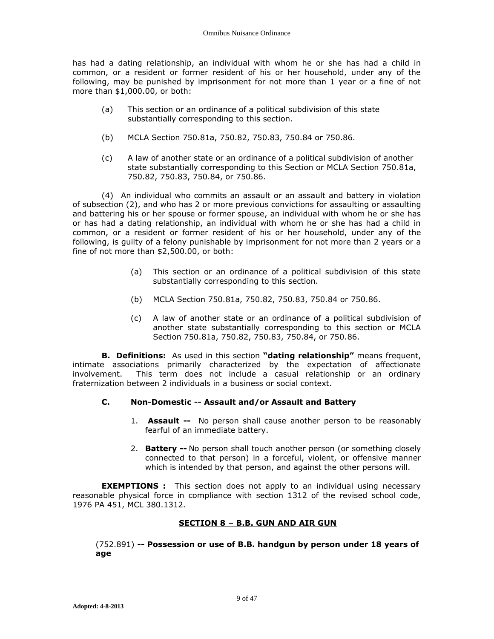has had a dating relationship, an individual with whom he or she has had a child in common, or a resident or former resident of his or her household, under any of the following, may be punished by imprisonment for not more than 1 year or a fine of not more than \$1,000.00, or both:

- (a) This section or an ordinance of a political subdivision of this state substantially corresponding to this section.
- (b) MCLA Section 750.81a, 750.82, 750.83, 750.84 or 750.86.
- (c) A law of another state or an ordinance of a political subdivision of another state substantially corresponding to this Section or MCLA Section 750.81a, 750.82, 750.83, 750.84, or 750.86.

(4) An individual who commits an assault or an assault and battery in violation of subsection (2), and who has 2 or more previous convictions for assaulting or assaulting and battering his or her spouse or former spouse, an individual with whom he or she has or has had a dating relationship, an individual with whom he or she has had a child in common, or a resident or former resident of his or her household, under any of the following, is guilty of a felony punishable by imprisonment for not more than 2 years or a fine of not more than \$2,500.00, or both:

- (a) This section or an ordinance of a political subdivision of this state substantially corresponding to this section.
- (b) MCLA Section 750.81a, 750.82, 750.83, 750.84 or 750.86.
- (c) A law of another state or an ordinance of a political subdivision of another state substantially corresponding to this section or MCLA Section 750.81a, 750.82, 750.83, 750.84, or 750.86.

**B. Definitions:** As used in this section **"dating relationship"** means frequent, intimate associations primarily characterized by the expectation of affectionate involvement. This term does not include a casual relationship or an ordinary fraternization between 2 individuals in a business or social context.

# **C. Non-Domestic -- Assault and/or Assault and Battery**

- 1. **Assault --** No person shall cause another person to be reasonably fearful of an immediate battery.
- 2. **Battery --** No person shall touch another person (or something closely connected to that person) in a forceful, violent, or offensive manner which is intended by that person, and against the other persons will.

**EXEMPTIONS :** This section does not apply to an individual using necessary reasonable physical force in compliance with section 1312 of the revised school code, 1976 PA 451, MCL 380.1312.

# **SECTION 8 – B.B. GUN AND AIR GUN**

(752.891) **-- Possession or use of B.B. handgun by person under 18 years of age**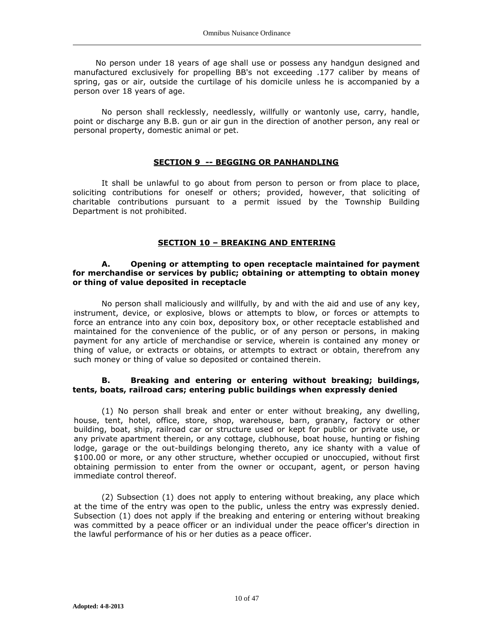No person under 18 years of age shall use or possess any handgun designed and manufactured exclusively for propelling BB's not exceeding .177 caliber by means of spring, gas or air, outside the curtilage of his domicile unless he is accompanied by a person over 18 years of age.

No person shall recklessly, needlessly, willfully or wantonly use, carry, handle, point or discharge any B.B. gun or air gun in the direction of another person, any real or personal property, domestic animal or pet.

#### **SECTION 9 -- BEGGING OR PANHANDLING**

It shall be unlawful to go about from person to person or from place to place, soliciting contributions for oneself or others; provided, however, that soliciting of charitable contributions pursuant to a permit issued by the Township Building Department is not prohibited.

#### **SECTION 10 – BREAKING AND ENTERING**

#### **A. Opening or attempting to open receptacle maintained for payment for merchandise or services by public; obtaining or attempting to obtain money or thing of value deposited in receptacle**

No person shall maliciously and willfully, by and with the aid and use of any key, instrument, device, or explosive, blows or attempts to blow, or forces or attempts to force an entrance into any coin box, depository box, or other receptacle established and maintained for the convenience of the public, or of any person or persons, in making payment for any article of merchandise or service, wherein is contained any money or thing of value, or extracts or obtains, or attempts to extract or obtain, therefrom any such money or thing of value so deposited or contained therein.

#### **B. Breaking and entering or entering without breaking; buildings, tents, boats, railroad cars; entering public buildings when expressly denied**

(1) No person shall break and enter or enter without breaking, any dwelling, house, tent, hotel, office, store, shop, warehouse, barn, granary, factory or other building, boat, ship, railroad car or structure used or kept for public or private use, or any private apartment therein, or any cottage, clubhouse, boat house, hunting or fishing lodge, garage or the out-buildings belonging thereto, any ice shanty with a value of \$100.00 or more, or any other structure, whether occupied or unoccupied, without first obtaining permission to enter from the owner or occupant, agent, or person having immediate control thereof.

(2) Subsection (1) does not apply to entering without breaking, any place which at the time of the entry was open to the public, unless the entry was expressly denied. Subsection (1) does not apply if the breaking and entering or entering without breaking was committed by a peace officer or an individual under the peace officer's direction in the lawful performance of his or her duties as a peace officer.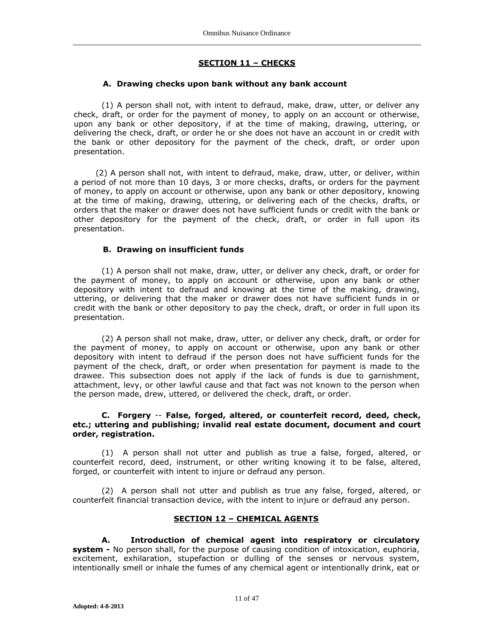# **SECTION 11 – CHECKS**

## **A. Drawing checks upon bank without any bank account**

(1) A person shall not, with intent to defraud, make, draw, utter, or deliver any check, draft, or order for the payment of money, to apply on an account or otherwise, upon any bank or other depository, if at the time of making, drawing, uttering, or delivering the check, draft, or order he or she does not have an account in or credit with the bank or other depository for the payment of the check, draft, or order upon presentation.

(2) A person shall not, with intent to defraud, make, draw, utter, or deliver, within a period of not more than 10 days, 3 or more checks, drafts, or orders for the payment of money, to apply on account or otherwise, upon any bank or other depository, knowing at the time of making, drawing, uttering, or delivering each of the checks, drafts, or orders that the maker or drawer does not have sufficient funds or credit with the bank or other depository for the payment of the check, draft, or order in full upon its presentation.

## **B. Drawing on insufficient funds**

(1) A person shall not make, draw, utter, or deliver any check, draft, or order for the payment of money, to apply on account or otherwise, upon any bank or other depository with intent to defraud and knowing at the time of the making, drawing, uttering, or delivering that the maker or drawer does not have sufficient funds in or credit with the bank or other depository to pay the check, draft, or order in full upon its presentation.

(2) A person shall not make, draw, utter, or deliver any check, draft, or order for the payment of money, to apply on account or otherwise, upon any bank or other depository with intent to defraud if the person does not have sufficient funds for the payment of the check, draft, or order when presentation for payment is made to the drawee. This subsection does not apply if the lack of funds is due to garnishment, attachment, levy, or other lawful cause and that fact was not known to the person when the person made, drew, uttered, or delivered the check, draft, or order.

### **C. Forgery** -- **False, forged, altered, or counterfeit record, deed, check, etc.; uttering and publishing; invalid real estate document, document and court order, registration.**

(1) A person shall not utter and publish as true a false, forged, altered, or counterfeit record, deed, instrument, or other writing knowing it to be false, altered, forged, or counterfeit with intent to injure or defraud any person.

(2) A person shall not utter and publish as true any false, forged, altered, or counterfeit financial transaction device, with the intent to injure or defraud any person.

## **SECTION 12 – CHEMICAL AGENTS**

**A. Introduction of chemical agent into respiratory or circulatory system -** No person shall, for the purpose of causing condition of intoxication, euphoria, excitement, exhilaration, stupefaction or dulling of the senses or nervous system, intentionally smell or inhale the fumes of any chemical agent or intentionally drink, eat or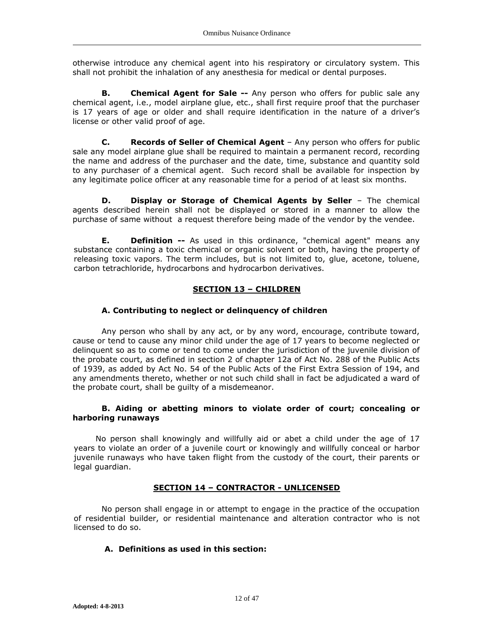otherwise introduce any chemical agent into his respiratory or circulatory system. This shall not prohibit the inhalation of any anesthesia for medical or dental purposes.

**B. Chemical Agent for Sale --** Any person who offers for public sale any chemical agent, i.e., model airplane glue, etc., shall first require proof that the purchaser is 17 years of age or older and shall require identification in the nature of a driver's license or other valid proof of age.

**C. Records of Seller of Chemical Agent** – Any person who offers for public sale any model airplane glue shall be required to maintain a permanent record, recording the name and address of the purchaser and the date, time, substance and quantity sold to any purchaser of a chemical agent. Such record shall be available for inspection by any legitimate police officer at any reasonable time for a period of at least six months.

**D. Display or Storage of Chemical Agents by Seller** – The chemical agents described herein shall not be displayed or stored in a manner to allow the purchase of same without a request therefore being made of the vendor by the vendee.

**E. Definition --** As used in this ordinance, "chemical agent" means any substance containing a toxic chemical or organic solvent or both, having the property of releasing toxic vapors. The term includes, but is not limited to, glue, acetone, toluene, carbon tetrachloride, hydrocarbons and hydrocarbon derivatives.

# **SECTION 13 – CHILDREN**

## **A. Contributing to neglect or delinquency of children**

Any person who shall by any act, or by any word, encourage, contribute toward, cause or tend to cause any minor child under the age of 17 years to become neglected or delinquent so as to come or tend to come under the jurisdiction of the juvenile division of the probate court, as defined in section 2 of chapter 12a of Act No. 288 of the Public Acts of 1939, as added by Act No. 54 of the Public Acts of the First Extra Session of 194, and any amendments thereto, whether or not such child shall in fact be adjudicated a ward of the probate court, shall be guilty of a misdemeanor.

### **B. Aiding or abetting minors to violate order of court; concealing or harboring runaways**

No person shall knowingly and willfully aid or abet a child under the age of 17 years to violate an order of a juvenile court or knowingly and willfully conceal or harbor juvenile runaways who have taken flight from the custody of the court, their parents or legal guardian.

# **SECTION 14 – CONTRACTOR - UNLICENSED**

No person shall engage in or attempt to engage in the practice of the occupation of residential builder, or residential maintenance and alteration contractor who is not licensed to do so.

## **A. Definitions as used in this section:**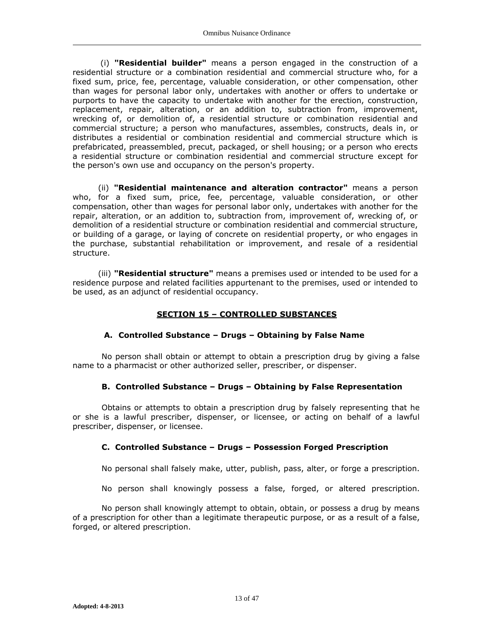(i) **"Residential builder"** means a person engaged in the construction of a residential structure or a combination residential and commercial structure who, for a fixed sum, price, fee, percentage, valuable consideration, or other compensation, other than wages for personal labor only, undertakes with another or offers to undertake or purports to have the capacity to undertake with another for the erection, construction, replacement, repair, alteration, or an addition to, subtraction from, improvement, wrecking of, or demolition of, a residential structure or combination residential and commercial structure; a person who manufactures, assembles, constructs, deals in, or distributes a residential or combination residential and commercial structure which is prefabricated, preassembled, precut, packaged, or shell housing; or a person who erects a residential structure or combination residential and commercial structure except for the person's own use and occupancy on the person's property.

(ii) **"Residential maintenance and alteration contractor"** means a person who, for a fixed sum, price, fee, percentage, valuable consideration, or other compensation, other than wages for personal labor only, undertakes with another for the repair, alteration, or an addition to, subtraction from, improvement of, wrecking of, or demolition of a residential structure or combination residential and commercial structure, or building of a garage, or laying of concrete on residential property, or who engages in the purchase, substantial rehabilitation or improvement, and resale of a residential structure.

(iii) **"Residential structure"** means a premises used or intended to be used for a residence purpose and related facilities appurtenant to the premises, used or intended to be used, as an adjunct of residential occupancy.

# **SECTION 15 – CONTROLLED SUBSTANCES**

# **A. Controlled Substance – Drugs – Obtaining by False Name**

No person shall obtain or attempt to obtain a prescription drug by giving a false name to a pharmacist or other authorized seller, prescriber, or dispenser.

### **B. Controlled Substance – Drugs – Obtaining by False Representation**

Obtains or attempts to obtain a prescription drug by falsely representing that he or she is a lawful prescriber, dispenser, or licensee, or acting on behalf of a lawful prescriber, dispenser, or licensee.

# **C. Controlled Substance – Drugs – Possession Forged Prescription**

No personal shall falsely make, utter, publish, pass, alter, or forge a prescription.

No person shall knowingly possess a false, forged, or altered prescription.

No person shall knowingly attempt to obtain, obtain, or possess a drug by means of a prescription for other than a legitimate therapeutic purpose, or as a result of a false, forged, or altered prescription.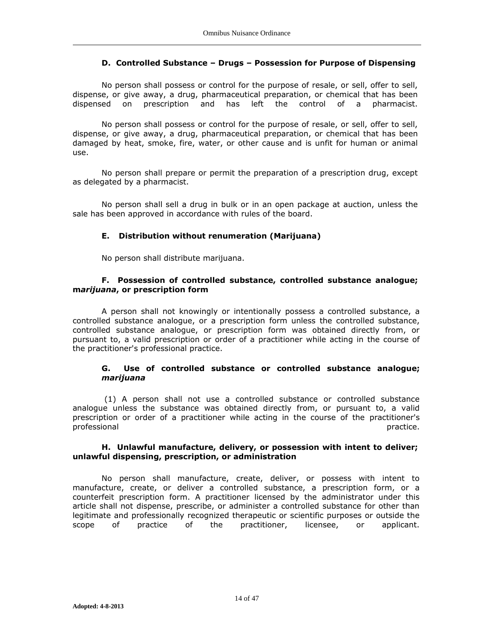## **D. Controlled Substance – Drugs – Possession for Purpose of Dispensing**

No person shall possess or control for the purpose of resale, or sell, offer to sell, dispense, or give away, a drug, pharmaceutical preparation, or chemical that has been dispensed on prescription and has left the control of a pharmacist.

No person shall possess or control for the purpose of resale, or sell, offer to sell, dispense, or give away, a drug, pharmaceutical preparation, or chemical that has been damaged by heat, smoke, fire, water, or other cause and is unfit for human or animal use.

No person shall prepare or permit the preparation of a prescription drug, except as delegated by a pharmacist.

No person shall sell a drug in bulk or in an open package at auction, unless the sale has been approved in accordance with rules of the board.

# **E. Distribution without renumeration (Marijuana)**

No person shall distribute marijuana.

## **F. Possession of controlled substance, controlled substance analogue; m***arijuana***, or prescription form**

A person shall not knowingly or intentionally possess a controlled substance, a controlled substance analogue, or a prescription form unless the controlled substance, controlled substance analogue, or prescription form was obtained directly from, or pursuant to, a valid prescription or order of a practitioner while acting in the course of the practitioner's professional practice.

## **G. Use of controlled substance or controlled substance analogue;**  *marijuana*

(1) A person shall not use a controlled substance or controlled substance analogue unless the substance was obtained directly from, or pursuant to, a valid prescription or order of a practitioner while acting in the course of the practitioner's professional professional professional professional professional professional professional professional professional professional professional professional professional professional professional professional professional p

### **H. Unlawful manufacture, delivery, or possession with intent to deliver; unlawful dispensing, prescription, or administration**

No person shall manufacture, create, deliver, or possess with intent to manufacture, create, or deliver a controlled substance, a prescription form, or a counterfeit prescription form. A practitioner licensed by the administrator under this article shall not dispense, prescribe, or administer a controlled substance for other than legitimate and professionally recognized therapeutic or scientific purposes or outside the scope of practice of the practitioner, licensee, or applicant.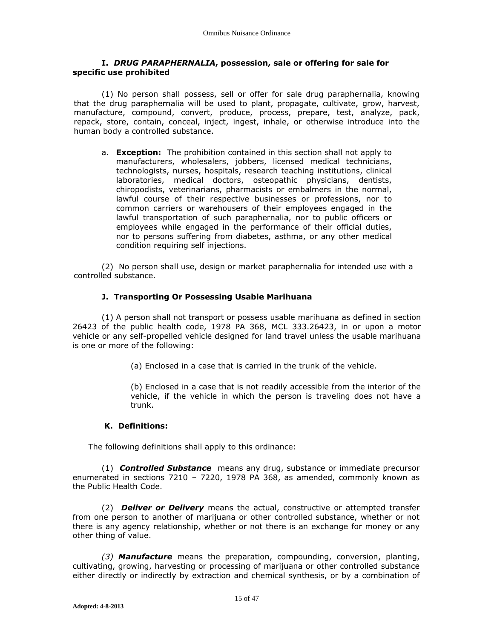### **I.** *DRUG PARAPHERNALIA***, possession, sale or offering for sale for specific use prohibited**

(1) No person shall possess, sell or offer for sale drug paraphernalia, knowing that the drug paraphernalia will be used to plant, propagate, cultivate, grow, harvest, manufacture, compound, convert, produce, process, prepare, test, analyze, pack, repack, store, contain, conceal, inject, ingest, inhale, or otherwise introduce into the human body a controlled substance.

a. **Exception:** The prohibition contained in this section shall not apply to manufacturers, wholesalers, jobbers, licensed medical technicians, technologists, nurses, hospitals, research teaching institutions, clinical laboratories, medical doctors, osteopathic physicians, dentists, chiropodists, veterinarians, pharmacists or embalmers in the normal, lawful course of their respective businesses or professions, nor to common carriers or warehousers of their employees engaged in the lawful transportation of such paraphernalia, nor to public officers or employees while engaged in the performance of their official duties, nor to persons suffering from diabetes, asthma, or any other medical condition requiring self injections.

(2) No person shall use, design or market paraphernalia for intended use with a controlled substance.

# **J. Transporting Or Possessing Usable Marihuana**

(1) A person shall not transport or possess usable marihuana as defined in section 26423 of the public health code, 1978 PA 368, MCL 333.26423, in or upon a motor vehicle or any self-propelled vehicle designed for land travel unless the usable marihuana is one or more of the following:

(a) Enclosed in a case that is carried in the trunk of the vehicle.

(b) Enclosed in a case that is not readily accessible from the interior of the vehicle, if the vehicle in which the person is traveling does not have a trunk.

### **K. Definitions:**

The following definitions shall apply to this ordinance:

(1) *Controlled Substance* means any drug, substance or immediate precursor enumerated in sections 7210 – 7220, 1978 PA 368, as amended, commonly known as the Public Health Code.

(2) *Deliver or Delivery* means the actual, constructive or attempted transfer from one person to another of marijuana or other controlled substance, whether or not there is any agency relationship, whether or not there is an exchange for money or any other thing of value.

*(3) Manufacture* means the preparation, compounding, conversion, planting, cultivating, growing, harvesting or processing of marijuana or other controlled substance either directly or indirectly by extraction and chemical synthesis, or by a combination of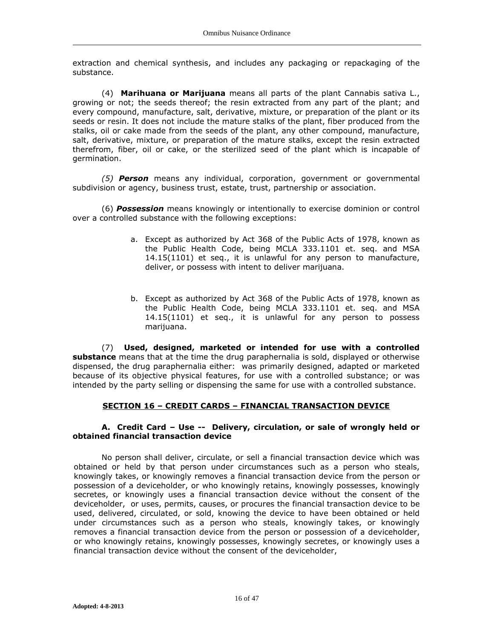extraction and chemical synthesis, and includes any packaging or repackaging of the substance.

(4) **Marihuana or Marijuana** means all parts of the plant Cannabis sativa L., growing or not; the seeds thereof; the resin extracted from any part of the plant; and every compound, manufacture, salt, derivative, mixture, or preparation of the plant or its seeds or resin. It does not include the mature stalks of the plant, fiber produced from the stalks, oil or cake made from the seeds of the plant, any other compound, manufacture, salt, derivative, mixture, or preparation of the mature stalks, except the resin extracted therefrom, fiber, oil or cake, or the sterilized seed of the plant which is incapable of germination.

*(5) Person* means any individual, corporation, government or governmental subdivision or agency, business trust, estate, trust, partnership or association.

(6) *Possession* means knowingly or intentionally to exercise dominion or control over a controlled substance with the following exceptions:

- a. Except as authorized by Act 368 of the Public Acts of 1978, known as the Public Health Code, being MCLA 333.1101 et. seq. and MSA 14.15(1101) et seq., it is unlawful for any person to manufacture, deliver, or possess with intent to deliver marijuana.
- b. Except as authorized by Act 368 of the Public Acts of 1978, known as the Public Health Code, being MCLA 333.1101 et. seq. and MSA 14.15(1101) et seq., it is unlawful for any person to possess marijuana.

(7) **Used, designed, marketed or intended for use with a controlled substance** means that at the time the drug paraphernalia is sold, displayed or otherwise dispensed, the drug paraphernalia either: was primarily designed, adapted or marketed because of its objective physical features, for use with a controlled substance; or was intended by the party selling or dispensing the same for use with a controlled substance.

# **SECTION 16 – CREDIT CARDS – FINANCIAL TRANSACTION DEVICE**

### **A. Credit Card – Use -- Delivery, circulation, or sale of wrongly held or obtained financial transaction device**

No person shall deliver, circulate, or sell a financial transaction device which was obtained or held by that person under circumstances such as a person who steals, knowingly takes, or knowingly removes a financial transaction device from the person or possession of a deviceholder, or who knowingly retains, knowingly possesses, knowingly secretes, or knowingly uses a financial transaction device without the consent of the deviceholder, or uses, permits, causes, or procures the financial transaction device to be used, delivered, circulated, or sold, knowing the device to have been obtained or held under circumstances such as a person who steals, knowingly takes, or knowingly removes a financial transaction device from the person or possession of a deviceholder, or who knowingly retains, knowingly possesses, knowingly secretes, or knowingly uses a financial transaction device without the consent of the deviceholder,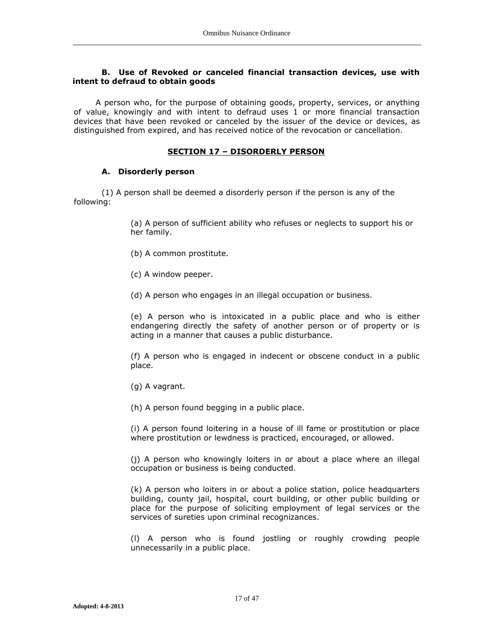### **B. Use of Revoked or canceled financial transaction devices, use with intent to defraud to obtain goods**

A person who, for the purpose of obtaining goods, property, services, or anything of value, knowingly and with intent to defraud uses 1 or more financial transaction devices that have been revoked or canceled by the issuer of the device or devices, as distinguished from expired, and has received notice of the revocation or cancellation.

## **SECTION 17 – DISORDERLY PERSON**

### **A. Disorderly person**

(1) A person shall be deemed a disorderly person if the person is any of the following:

> (a) A person of sufficient ability who refuses or neglects to support his or her family.

- (b) A common prostitute.
- (c) A window peeper.
- (d) A person who engages in an illegal occupation or business.

(e) A person who is intoxicated in a public place and who is either endangering directly the safety of another person or of property or is acting in a manner that causes a public disturbance.

(f) A person who is engaged in indecent or obscene conduct in a public place.

(g) A vagrant.

(h) A person found begging in a public place.

(i) A person found loitering in a house of ill fame or prostitution or place where prostitution or lewdness is practiced, encouraged, or allowed.

(j) A person who knowingly loiters in or about a place where an illegal occupation or business is being conducted.

(k) A person who loiters in or about a police station, police headquarters building, county jail, hospital, court building, or other public building or place for the purpose of soliciting employment of legal services or the services of sureties upon criminal recognizances.

(l) A person who is found jostling or roughly crowding people unnecessarily in a public place.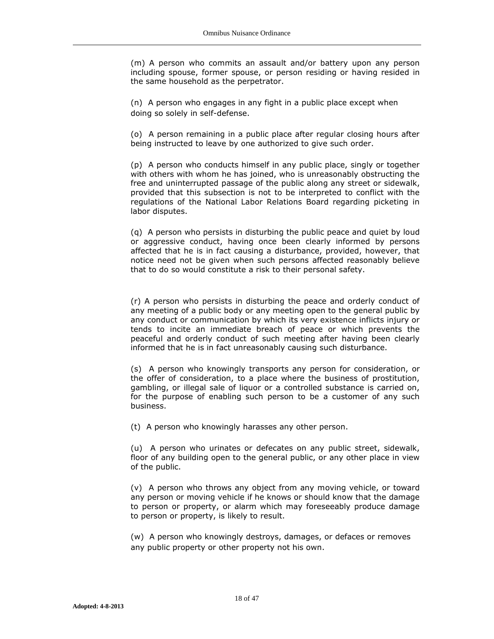(m) A person who commits an assault and/or battery upon any person including spouse, former spouse, or person residing or having resided in the same household as the perpetrator.

(n) A person who engages in any fight in a public place except when doing so solely in self-defense.

(o) A person remaining in a public place after regular closing hours after being instructed to leave by one authorized to give such order.

(p) A person who conducts himself in any public place, singly or together with others with whom he has joined, who is unreasonably obstructing the free and uninterrupted passage of the public along any street or sidewalk, provided that this subsection is not to be interpreted to conflict with the regulations of the National Labor Relations Board regarding picketing in labor disputes.

(q) A person who persists in disturbing the public peace and quiet by loud or aggressive conduct, having once been clearly informed by persons affected that he is in fact causing a disturbance, provided, however, that notice need not be given when such persons affected reasonably believe that to do so would constitute a risk to their personal safety.

(r) A person who persists in disturbing the peace and orderly conduct of any meeting of a public body or any meeting open to the general public by any conduct or communication by which its very existence inflicts injury or tends to incite an immediate breach of peace or which prevents the peaceful and orderly conduct of such meeting after having been clearly informed that he is in fact unreasonably causing such disturbance.

(s) A person who knowingly transports any person for consideration, or the offer of consideration, to a place where the business of prostitution, gambling, or illegal sale of liquor or a controlled substance is carried on, for the purpose of enabling such person to be a customer of any such business.

(t) A person who knowingly harasses any other person.

(u) A person who urinates or defecates on any public street, sidewalk, floor of any building open to the general public, or any other place in view of the public.

(v) A person who throws any object from any moving vehicle, or toward any person or moving vehicle if he knows or should know that the damage to person or property, or alarm which may foreseeably produce damage to person or property, is likely to result.

(w) A person who knowingly destroys, damages, or defaces or removes any public property or other property not his own.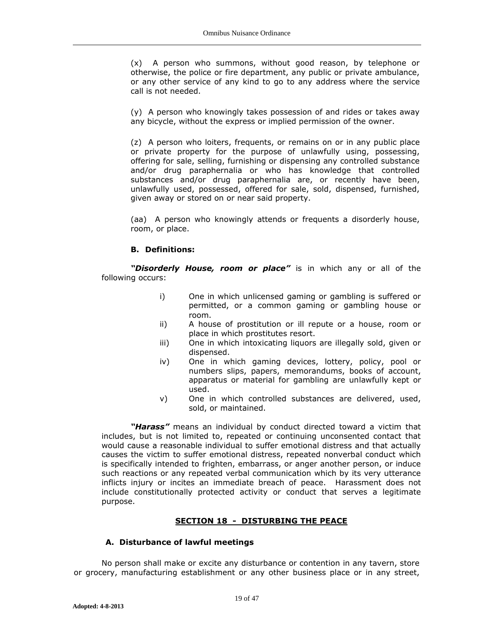(x) A person who summons, without good reason, by telephone or otherwise, the police or fire department, any public or private ambulance, or any other service of any kind to go to any address where the service call is not needed.

(y) A person who knowingly takes possession of and rides or takes away any bicycle, without the express or implied permission of the owner.

(z) A person who loiters, frequents, or remains on or in any public place or private property for the purpose of unlawfully using, possessing, offering for sale, selling, furnishing or dispensing any controlled substance and/or drug paraphernalia or who has knowledge that controlled substances and/or drug paraphernalia are, or recently have been, unlawfully used, possessed, offered for sale, sold, dispensed, furnished, given away or stored on or near said property.

(aa) A person who knowingly attends or frequents a disorderly house, room, or place.

# **B. Definitions:**

*"Disorderly House, room or place"* is in which any or all of the following occurs:

- i) One in which unlicensed gaming or gambling is suffered or permitted, or a common gaming or gambling house or room.
- ii) A house of prostitution or ill repute or a house, room or place in which prostitutes resort.
- iii) One in which intoxicating liquors are illegally sold, given or dispensed.
- iv) One in which gaming devices, lottery, policy, pool or numbers slips, papers, memorandums, books of account, apparatus or material for gambling are unlawfully kept or used.
- v) One in which controlled substances are delivered, used, sold, or maintained.

*"Harass"* means an individual by conduct directed toward a victim that includes, but is not limited to, repeated or continuing unconsented contact that would cause a reasonable individual to suffer emotional distress and that actually causes the victim to suffer emotional distress, repeated nonverbal conduct which is specifically intended to frighten, embarrass, or anger another person, or induce such reactions or any repeated verbal communication which by its very utterance inflicts injury or incites an immediate breach of peace. Harassment does not include constitutionally protected activity or conduct that serves a legitimate purpose.

# **SECTION 18 - DISTURBING THE PEACE**

### **A. Disturbance of lawful meetings**

No person shall make or excite any disturbance or contention in any tavern, store or grocery, manufacturing establishment or any other business place or in any street,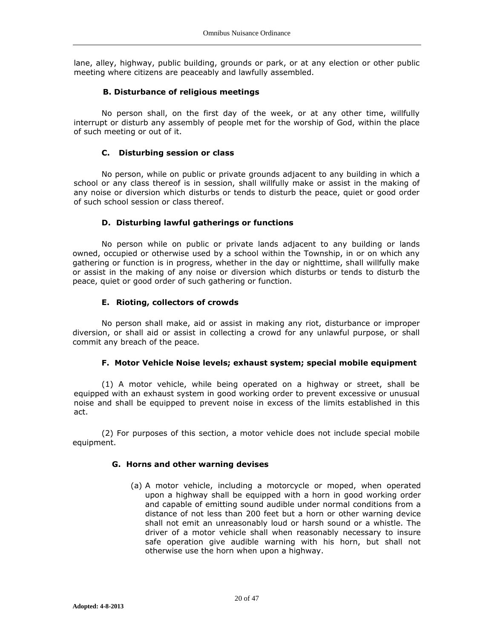lane, alley, highway, public building, grounds or park, or at any election or other public meeting where citizens are peaceably and lawfully assembled.

## **B. Disturbance of religious meetings**

No person shall, on the first day of the week, or at any other time, willfully interrupt or disturb any assembly of people met for the worship of God, within the place of such meeting or out of it.

# **C. Disturbing session or class**

No person, while on public or private grounds adjacent to any building in which a school or any class thereof is in session, shall willfully make or assist in the making of any noise or diversion which disturbs or tends to disturb the peace, quiet or good order of such school session or class thereof.

# **D. Disturbing lawful gatherings or functions**

No person while on public or private lands adjacent to any building or lands owned, occupied or otherwise used by a school within the Township, in or on which any gathering or function is in progress, whether in the day or nighttime, shall willfully make or assist in the making of any noise or diversion which disturbs or tends to disturb the peace, quiet or good order of such gathering or function.

# **E. Rioting, collectors of crowds**

No person shall make, aid or assist in making any riot, disturbance or improper diversion, or shall aid or assist in collecting a crowd for any unlawful purpose, or shall commit any breach of the peace.

# **F. Motor Vehicle Noise levels; exhaust system; special mobile equipment**

(1) A motor vehicle, while being operated on a highway or street, shall be equipped with an exhaust system in good working order to prevent excessive or unusual noise and shall be equipped to prevent noise in excess of the limits established in this act.

(2) For purposes of this section, a motor vehicle does not include special mobile equipment.

# **G. Horns and other warning devises**

(a) A motor vehicle, including a motorcycle or moped, when operated upon a highway shall be equipped with a horn in good working order and capable of emitting sound audible under normal conditions from a distance of not less than 200 feet but a horn or other warning device shall not emit an unreasonably loud or harsh sound or a whistle. The driver of a motor vehicle shall when reasonably necessary to insure safe operation give audible warning with his horn, but shall not otherwise use the horn when upon a highway.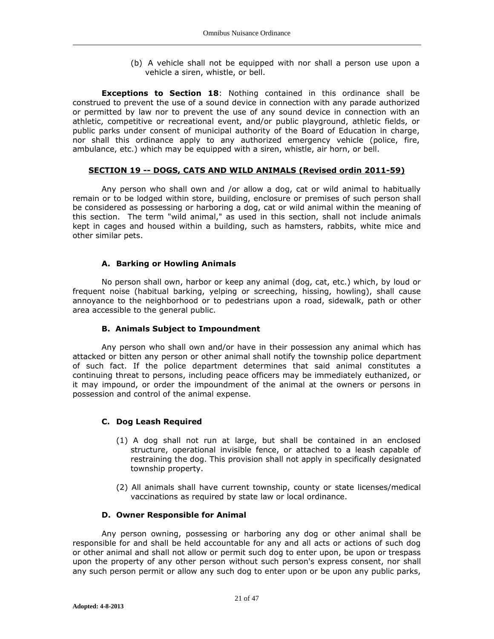(b) A vehicle shall not be equipped with nor shall a person use upon a vehicle a siren, whistle, or bell.

**Exceptions to Section 18**: Nothing contained in this ordinance shall be construed to prevent the use of a sound device in connection with any parade authorized or permitted by law nor to prevent the use of any sound device in connection with an athletic, competitive or recreational event, and/or public playground, athletic fields, or public parks under consent of municipal authority of the Board of Education in charge, nor shall this ordinance apply to any authorized emergency vehicle (police, fire, ambulance, etc.) which may be equipped with a siren, whistle, air horn, or bell.

## **SECTION 19 -- DOGS, CATS AND WILD ANIMALS (Revised ordin 2011-59)**

Any person who shall own and /or allow a dog, cat or wild animal to habitually remain or to be lodged within store, building, enclosure or premises of such person shall be considered as possessing or harboring a dog, cat or wild animal within the meaning of this section. The term "wild animal," as used in this section, shall not include animals kept in cages and housed within a building, such as hamsters, rabbits, white mice and other similar pets.

## **A. Barking or Howling Animals**

No person shall own, harbor or keep any animal (dog, cat, etc.) which, by loud or frequent noise (habitual barking, yelping or screeching, hissing, howling), shall cause annoyance to the neighborhood or to pedestrians upon a road, sidewalk, path or other area accessible to the general public.

# **B. Animals Subject to Impoundment**

Any person who shall own and/or have in their possession any animal which has attacked or bitten any person or other animal shall notify the township police department of such fact. If the police department determines that said animal constitutes a continuing threat to persons, including peace officers may be immediately euthanized, or it may impound, or order the impoundment of the animal at the owners or persons in possession and control of the animal expense.

# **C. Dog Leash Required**

- (1) A dog shall not run at large, but shall be contained in an enclosed structure, operational invisible fence, or attached to a leash capable of restraining the dog. This provision shall not apply in specifically designated township property.
- (2) All animals shall have current township, county or state licenses/medical vaccinations as required by state law or local ordinance.

### **D. Owner Responsible for Animal**

Any person owning, possessing or harboring any dog or other animal shall be responsible for and shall be held accountable for any and all acts or actions of such dog or other animal and shall not allow or permit such dog to enter upon, be upon or trespass upon the property of any other person without such person's express consent, nor shall any such person permit or allow any such dog to enter upon or be upon any public parks,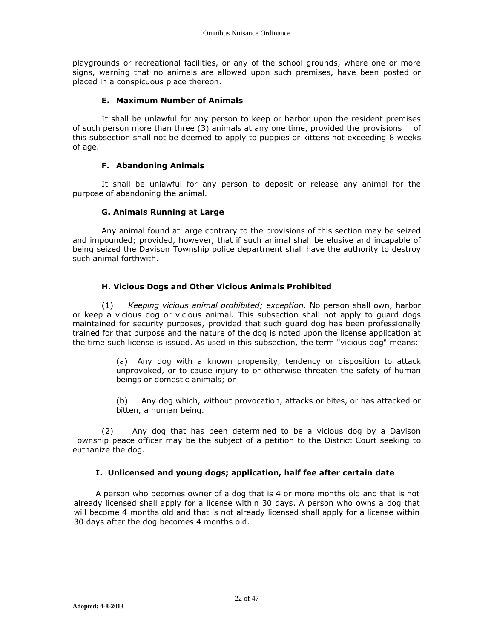playgrounds or recreational facilities, or any of the school grounds, where one or more signs, warning that no animals are allowed upon such premises, have been posted or placed in a conspicuous place thereon.

## **E. Maximum Number of Animals**

It shall be unlawful for any person to keep or harbor upon the resident premises of such person more than three (3) animals at any one time, provided the provisions of this subsection shall not be deemed to apply to puppies or kittens not exceeding 8 weeks of age.

## **F. Abandoning Animals**

It shall be unlawful for any person to deposit or release any animal for the purpose of abandoning the animal.

## **G. Animals Running at Large**

Any animal found at large contrary to the provisions of this section may be seized and impounded; provided, however, that if such animal shall be elusive and incapable of being seized the Davison Township police department shall have the authority to destroy such animal forthwith.

# **H. Vicious Dogs and Other Vicious Animals Prohibited**

(1) *Keeping vicious animal prohibited; exception.* No person shall own, harbor or keep a vicious dog or vicious animal. This subsection shall not apply to guard dogs maintained for security purposes, provided that such guard dog has been professionally trained for that purpose and the nature of the dog is noted upon the license application at the time such license is issued. As used in this subsection, the term "vicious dog" means:

> (a) Any dog with a known propensity, tendency or disposition to attack unprovoked, or to cause injury to or otherwise threaten the safety of human beings or domestic animals; or

> (b) Any dog which, without provocation, attacks or bites, or has attacked or bitten, a human being.

(2) Any dog that has been determined to be a vicious dog by a Davison Township peace officer may be the subject of a petition to the District Court seeking to euthanize the dog.

# **I. Unlicensed and young dogs; application, half fee after certain date**

A person who becomes owner of a dog that is 4 or more months old and that is not already licensed shall apply for a license within 30 days. A person who owns a dog that will become 4 months old and that is not already licensed shall apply for a license within 30 days after the dog becomes 4 months old.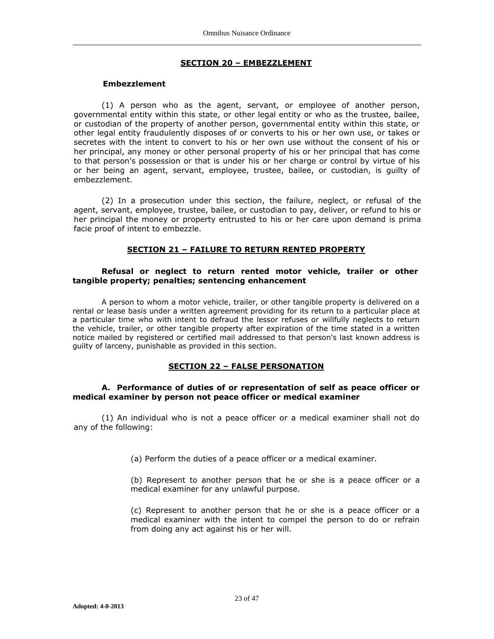#### **SECTION 20 – EMBEZZLEMENT**

#### **Embezzlement**

(1) A person who as the agent, servant, or employee of another person, governmental entity within this state, or other legal entity or who as the trustee, bailee, or custodian of the property of another person, governmental entity within this state, or other legal entity fraudulently disposes of or converts to his or her own use, or takes or secretes with the intent to convert to his or her own use without the consent of his or her principal, any money or other personal property of his or her principal that has come to that person's possession or that is under his or her charge or control by virtue of his or her being an agent, servant, employee, trustee, bailee, or custodian, is guilty of embezzlement.

(2) In a prosecution under this section, the failure, neglect, or refusal of the agent, servant, employee, trustee, bailee, or custodian to pay, deliver, or refund to his or her principal the money or property entrusted to his or her care upon demand is prima facie proof of intent to embezzle.

#### **SECTION 21 – FAILURE TO RETURN RENTED PROPERTY**

#### **Refusal or neglect to return rented motor vehicle, trailer or other tangible property; penalties; sentencing enhancement**

A person to whom a motor vehicle, trailer, or other tangible property is delivered on a rental or lease basis under a written agreement providing for its return to a particular place at a particular time who with intent to defraud the lessor refuses or willfully neglects to return the vehicle, trailer, or other tangible property after expiration of the time stated in a written notice mailed by registered or certified mail addressed to that person's last known address is guilty of larceny, punishable as provided in this section.

### **SECTION 22 – FALSE PERSONATION**

#### **A. Performance of duties of or representation of self as peace officer or medical examiner by person not peace officer or medical examiner**

(1) An individual who is not a peace officer or a medical examiner shall not do any of the following:

(a) Perform the duties of a peace officer or a medical examiner.

(b) Represent to another person that he or she is a peace officer or a medical examiner for any unlawful purpose.

(c) Represent to another person that he or she is a peace officer or a medical examiner with the intent to compel the person to do or refrain from doing any act against his or her will.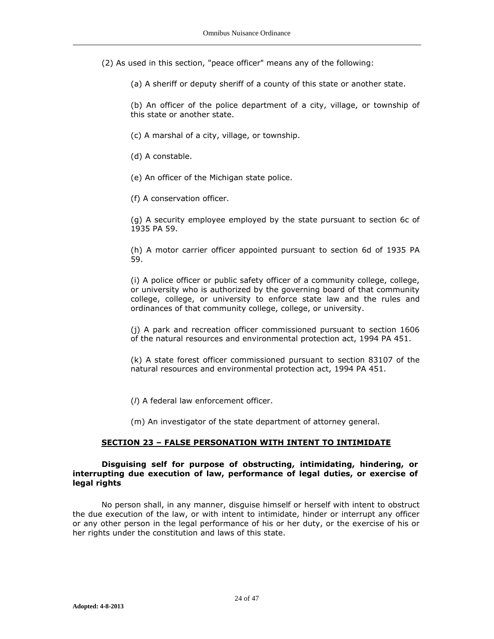(2) As used in this section, "peace officer" means any of the following:

(a) A sheriff or deputy sheriff of a county of this state or another state.

(b) An officer of the police department of a city, village, or township of this state or another state.

(c) A marshal of a city, village, or township.

(d) A constable.

(e) An officer of the Michigan state police.

(f) A conservation officer.

(g) A security employee employed by the state pursuant to section 6c of 1935 PA 59.

(h) A motor carrier officer appointed pursuant to section 6d of 1935 PA 59.

(i) A police officer or public safety officer of a community college, college, or university who is authorized by the governing board of that community college, college, or university to enforce state law and the rules and ordinances of that community college, college, or university.

(j) A park and recreation officer commissioned pursuant to section 1606 of the natural resources and environmental protection act, 1994 PA 451.

(k) A state forest officer commissioned pursuant to section 83107 of the natural resources and environmental protection act, 1994 PA 451.

(*l*) A federal law enforcement officer.

(m) An investigator of the state department of attorney general.

#### **SECTION 23 – FALSE PERSONATION WITH INTENT TO INTIMIDATE**

#### **Disguising self for purpose of obstructing, intimidating, hindering, or interrupting due execution of law, performance of legal duties, or exercise of legal rights**

No person shall, in any manner, disguise himself or herself with intent to obstruct the due execution of the law, or with intent to intimidate, hinder or interrupt any officer or any other person in the legal performance of his or her duty, or the exercise of his or her rights under the constitution and laws of this state.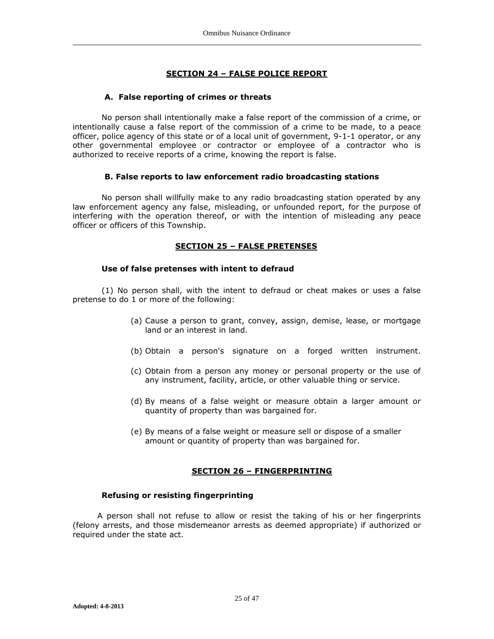# **SECTION 24 – FALSE POLICE REPORT**

## **A. False reporting of crimes or threats**

No person shall intentionally make a false report of the commission of a crime, or intentionally cause a false report of the commission of a crime to be made, to a peace officer, police agency of this state or of a local unit of government, 9-1-1 operator, or any other governmental employee or contractor or employee of a contractor who is authorized to receive reports of a crime, knowing the report is false.

### **B. False reports to law enforcement radio broadcasting stations**

No person shall willfully make to any radio broadcasting station operated by any law enforcement agency any false, misleading, or unfounded report, for the purpose of interfering with the operation thereof, or with the intention of misleading any peace officer or officers of this Township.

## **SECTION 25 – FALSE PRETENSES**

## **Use of false pretenses with intent to defraud**

(1) No person shall, with the intent to defraud or cheat makes or uses a false pretense to do 1 or more of the following:

- (a) Cause a person to grant, convey, assign, demise, lease, or mortgage land or an interest in land.
- (b) Obtain a person's signature on a forged written instrument.
- (c) Obtain from a person any money or personal property or the use of any instrument, facility, article, or other valuable thing or service.
- (d) By means of a false weight or measure obtain a larger amount or quantity of property than was bargained for.
- (e) By means of a false weight or measure sell or dispose of a smaller amount or quantity of property than was bargained for.

# **SECTION 26 – FINGERPRINTING**

### **Refusing or resisting fingerprinting**

A person shall not refuse to allow or resist the taking of his or her fingerprints (felony arrests, and those misdemeanor arrests as deemed appropriate) if authorized or required under the state act.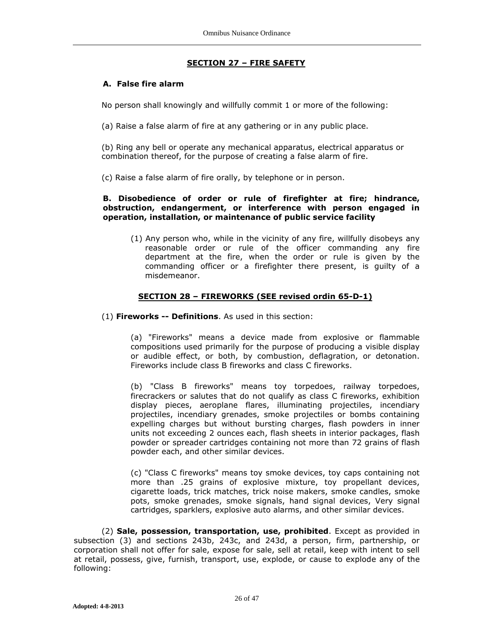# **SECTION 27 – FIRE SAFETY**

# **A. False fire alarm**

No person shall knowingly and willfully commit 1 or more of the following:

(a) Raise a false alarm of fire at any gathering or in any public place.

(b) Ring any bell or operate any mechanical apparatus, electrical apparatus or combination thereof, for the purpose of creating a false alarm of fire.

(c) Raise a false alarm of fire orally, by telephone or in person.

## **B. Disobedience of order or rule of firefighter at fire; hindrance, obstruction, endangerment, or interference with person engaged in operation, installation, or maintenance of public service facility**

(1) Any person who, while in the vicinity of any fire, willfully disobeys any reasonable order or rule of the officer commanding any fire department at the fire, when the order or rule is given by the commanding officer or a firefighter there present, is guilty of a misdemeanor.

# **SECTION 28 – FIREWORKS (SEE revised ordin 65-D-1)**

## (1) **Fireworks -- Definitions**. As used in this section:

(a) "Fireworks" means a device made from explosive or flammable compositions used primarily for the purpose of producing a visible display or audible effect, or both, by combustion, deflagration, or detonation. Fireworks include class B fireworks and class C fireworks.

(b) "Class B fireworks" means toy torpedoes, railway torpedoes, firecrackers or salutes that do not qualify as class C fireworks, exhibition display pieces, aeroplane flares, illuminating projectiles, incendiary projectiles, incendiary grenades, smoke projectiles or bombs containing expelling charges but without bursting charges, flash powders in inner units not exceeding 2 ounces each, flash sheets in interior packages, flash powder or spreader cartridges containing not more than 72 grains of flash powder each, and other similar devices.

(c) "Class C fireworks" means toy smoke devices, toy caps containing not more than .25 grains of explosive mixture, toy propellant devices, cigarette loads, trick matches, trick noise makers, smoke candles, smoke pots, smoke grenades, smoke signals, hand signal devices, Very signal cartridges, sparklers, explosive auto alarms, and other similar devices.

(2) **Sale, possession, transportation, use, prohibited**. Except as provided in subsection (3) and sections 243b, 243c, and 243d, a person, firm, partnership, or corporation shall not offer for sale, expose for sale, sell at retail, keep with intent to sell at retail, possess, give, furnish, transport, use, explode, or cause to explode any of the following: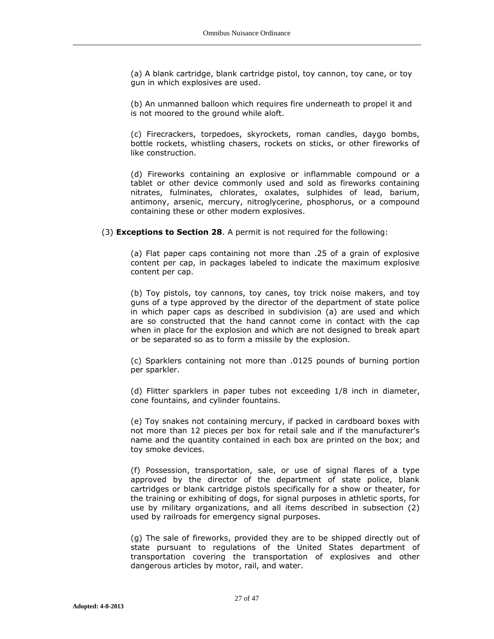(a) A blank cartridge, blank cartridge pistol, toy cannon, toy cane, or toy gun in which explosives are used.

(b) An unmanned balloon which requires fire underneath to propel it and is not moored to the ground while aloft.

(c) Firecrackers, torpedoes, skyrockets, roman candles, daygo bombs, bottle rockets, whistling chasers, rockets on sticks, or other fireworks of like construction.

(d) Fireworks containing an explosive or inflammable compound or a tablet or other device commonly used and sold as fireworks containing nitrates, fulminates, chlorates, oxalates, sulphides of lead, barium, antimony, arsenic, mercury, nitroglycerine, phosphorus, or a compound containing these or other modern explosives.

(3) **Exceptions to Section 28**. A permit is not required for the following:

(a) Flat paper caps containing not more than .25 of a grain of explosive content per cap, in packages labeled to indicate the maximum explosive content per cap.

(b) Toy pistols, toy cannons, toy canes, toy trick noise makers, and toy guns of a type approved by the director of the department of state police in which paper caps as described in subdivision (a) are used and which are so constructed that the hand cannot come in contact with the cap when in place for the explosion and which are not designed to break apart or be separated so as to form a missile by the explosion.

(c) Sparklers containing not more than .0125 pounds of burning portion per sparkler.

(d) Flitter sparklers in paper tubes not exceeding 1/8 inch in diameter, cone fountains, and cylinder fountains.

(e) Toy snakes not containing mercury, if packed in cardboard boxes with not more than 12 pieces per box for retail sale and if the manufacturer's name and the quantity contained in each box are printed on the box; and toy smoke devices.

(f) Possession, transportation, sale, or use of signal flares of a type approved by the director of the department of state police, blank cartridges or blank cartridge pistols specifically for a show or theater, for the training or exhibiting of dogs, for signal purposes in athletic sports, for use by military organizations, and all items described in subsection (2) used by railroads for emergency signal purposes.

(g) The sale of fireworks, provided they are to be shipped directly out of state pursuant to regulations of the United States department of transportation covering the transportation of explosives and other dangerous articles by motor, rail, and water.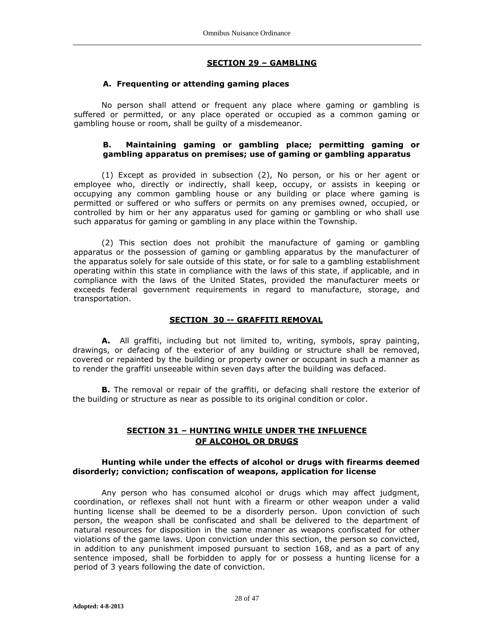### **SECTION 29 – GAMBLING**

# **A. Frequenting or attending gaming places**

No person shall attend or frequent any place where gaming or gambling is suffered or permitted, or any place operated or occupied as a common gaming or gambling house or room, shall be guilty of a misdemeanor.

### **B. Maintaining gaming or gambling place; permitting gaming or gambling apparatus on premises; use of gaming or gambling apparatus**

(1) Except as provided in subsection (2), No person, or his or her agent or employee who, directly or indirectly, shall keep, occupy, or assists in keeping or occupying any common gambling house or any building or place where gaming is permitted or suffered or who suffers or permits on any premises owned, occupied, or controlled by him or her any apparatus used for gaming or gambling or who shall use such apparatus for gaming or gambling in any place within the Township.

(2) This section does not prohibit the manufacture of gaming or gambling apparatus or the possession of gaming or gambling apparatus by the manufacturer of the apparatus solely for sale outside of this state, or for sale to a gambling establishment operating within this state in compliance with the laws of this state, if applicable, and in compliance with the laws of the United States, provided the manufacturer meets or exceeds federal government requirements in regard to manufacture, storage, and transportation.

#### **SECTION 30 -- GRAFFITI REMOVAL**

**A.** All graffiti, including but not limited to, writing, symbols, spray painting, drawings, or defacing of the exterior of any building or structure shall be removed, covered or repainted by the building or property owner or occupant in such a manner as to render the graffiti unseeable within seven days after the building was defaced.

**B.** The removal or repair of the graffiti, or defacing shall restore the exterior of the building or structure as near as possible to its original condition or color.

## **SECTION 31 – HUNTING WHILE UNDER THE INFLUENCE OF ALCOHOL OR DRUGS**

#### **Hunting while under the effects of alcohol or drugs with firearms deemed disorderly; conviction; confiscation of weapons, application for license**

Any person who has consumed alcohol or drugs which may affect judgment, coordination, or reflexes shall not hunt with a firearm or other weapon under a valid hunting license shall be deemed to be a disorderly person. Upon conviction of such person, the weapon shall be confiscated and shall be delivered to the department of natural resources for disposition in the same manner as weapons confiscated for other violations of the game laws. Upon conviction under this section, the person so convicted, in addition to any punishment imposed pursuant to section 168, and as a part of any sentence imposed, shall be forbidden to apply for or possess a hunting license for a period of 3 years following the date of conviction.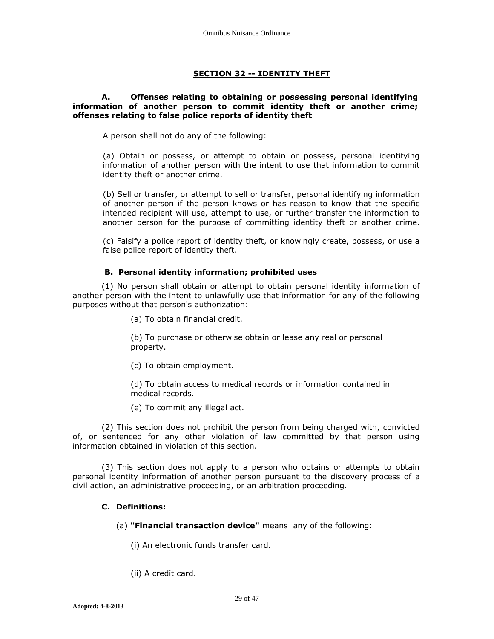# **SECTION 32 -- IDENTITY THEFT**

## **A. Offenses relating to obtaining or possessing personal identifying information of another person to commit identity theft or another crime; offenses relating to false police reports of identity theft**

A person shall not do any of the following:

(a) Obtain or possess, or attempt to obtain or possess, personal identifying information of another person with the intent to use that information to commit identity theft or another crime.

(b) Sell or transfer, or attempt to sell or transfer, personal identifying information of another person if the person knows or has reason to know that the specific intended recipient will use, attempt to use, or further transfer the information to another person for the purpose of committing identity theft or another crime.

(c) Falsify a police report of identity theft, or knowingly create, possess, or use a false police report of identity theft.

### **B. Personal identity information; prohibited uses**

(1) No person shall obtain or attempt to obtain personal identity information of another person with the intent to unlawfully use that information for any of the following purposes without that person's authorization:

(a) To obtain financial credit.

(b) To purchase or otherwise obtain or lease any real or personal property.

(c) To obtain employment.

(d) To obtain access to medical records or information contained in medical records.

(e) To commit any illegal act.

(2) This section does not prohibit the person from being charged with, convicted of, or sentenced for any other violation of law committed by that person using information obtained in violation of this section.

(3) This section does not apply to a person who obtains or attempts to obtain personal identity information of another person pursuant to the discovery process of a civil action, an administrative proceeding, or an arbitration proceeding.

## **C. Definitions:**

(a) **"Financial transaction device"** means any of the following:

(i) An electronic funds transfer card.

(ii) A credit card.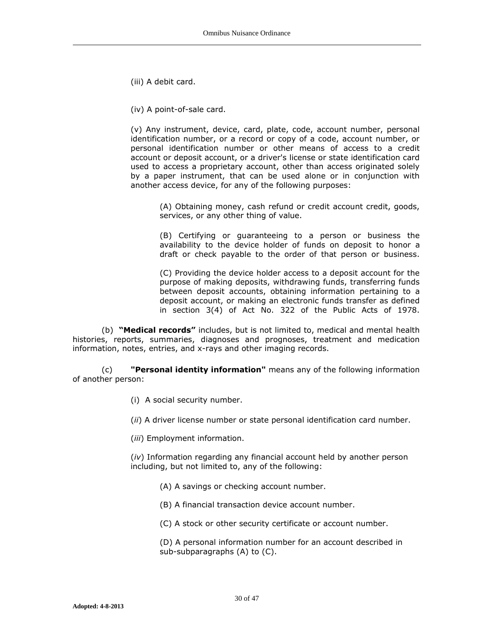(iii) A debit card.

(iv) A point-of-sale card.

(v) Any instrument, device, card, plate, code, account number, personal identification number, or a record or copy of a code, account number, or personal identification number or other means of access to a credit account or deposit account, or a driver's license or state identification card used to access a proprietary account, other than access originated solely by a paper instrument, that can be used alone or in conjunction with another access device, for any of the following purposes:

(A) Obtaining money, cash refund or credit account credit, goods, services, or any other thing of value.

(B) Certifying or guaranteeing to a person or business the availability to the device holder of funds on deposit to honor a draft or check payable to the order of that person or business.

(C) Providing the device holder access to a deposit account for the purpose of making deposits, withdrawing funds, transferring funds between deposit accounts, obtaining information pertaining to a deposit account, or making an electronic funds transfer as defined in section 3(4) of Act No. 322 of the Public Acts of 1978.

(b) **"Medical records"** includes, but is not limited to, medical and mental health histories, reports, summaries, diagnoses and prognoses, treatment and medication information, notes, entries, and x-rays and other imaging records.

(c) **"Personal identity information"** means any of the following information of another person:

(i) A social security number.

(*ii*) A driver license number or state personal identification card number.

(*iii*) Employment information.

(*iv*) Information regarding any financial account held by another person including, but not limited to, any of the following:

(A) A savings or checking account number.

(B) A financial transaction device account number.

(C) A stock or other security certificate or account number.

(D) A personal information number for an account described in sub-subparagraphs (A) to (C).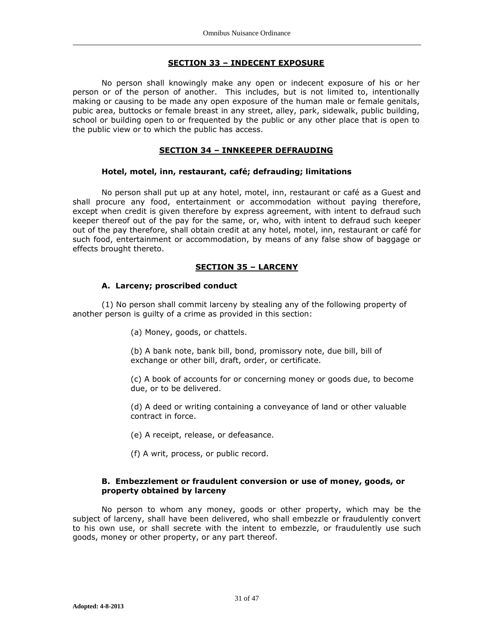#### **SECTION 33 – INDECENT EXPOSURE**

No person shall knowingly make any open or indecent exposure of his or her person or of the person of another. This includes, but is not limited to, intentionally making or causing to be made any open exposure of the human male or female genitals, pubic area, buttocks or female breast in any street, alley, park, sidewalk, public building, school or building open to or frequented by the public or any other place that is open to the public view or to which the public has access.

## **SECTION 34 – INNKEEPER DEFRAUDING**

### **Hotel, motel, inn, restaurant, café; defrauding; limitations**

No person shall put up at any hotel, motel, inn, restaurant or café as a Guest and shall procure any food, entertainment or accommodation without paying therefore, except when credit is given therefore by express agreement, with intent to defraud such keeper thereof out of the pay for the same, or, who, with intent to defraud such keeper out of the pay therefore, shall obtain credit at any hotel, motel, inn, restaurant or café for such food, entertainment or accommodation, by means of any false show of baggage or effects brought thereto.

## **SECTION 35 – LARCENY**

### **A. Larceny; proscribed conduct**

(1) No person shall commit larceny by stealing any of the following property of another person is guilty of a crime as provided in this section:

(a) Money, goods, or chattels.

(b) A bank note, bank bill, bond, promissory note, due bill, bill of exchange or other bill, draft, order, or certificate.

(c) A book of accounts for or concerning money or goods due, to become due, or to be delivered.

(d) A deed or writing containing a conveyance of land or other valuable contract in force.

(e) A receipt, release, or defeasance.

(f) A writ, process, or public record.

## **B. Embezzlement or fraudulent conversion or use of money, goods, or property obtained by larceny**

No person to whom any money, goods or other property, which may be the subject of larceny, shall have been delivered, who shall embezzle or fraudulently convert to his own use, or shall secrete with the intent to embezzle, or fraudulently use such goods, money or other property, or any part thereof.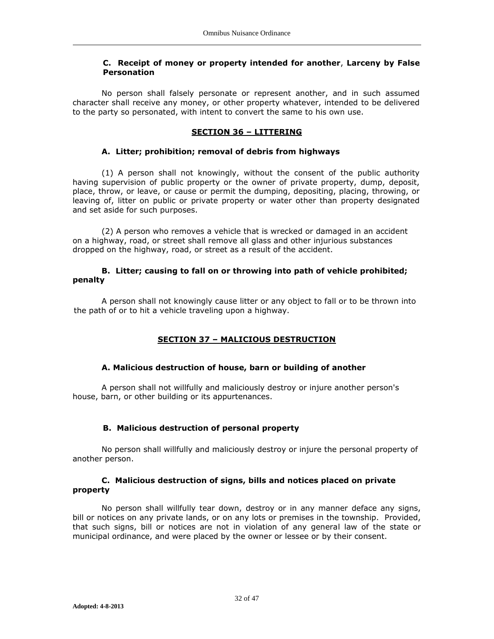## **C. Receipt of money or property intended for another**, **Larceny by False Personation**

No person shall falsely personate or represent another, and in such assumed character shall receive any money, or other property whatever, intended to be delivered to the party so personated, with intent to convert the same to his own use.

#### **SECTION 36 – LITTERING**

### **A. Litter; prohibition; removal of debris from highways**

(1) A person shall not knowingly, without the consent of the public authority having supervision of public property or the owner of private property, dump, deposit, place, throw, or leave, or cause or permit the dumping, depositing, placing, throwing, or leaving of, litter on public or private property or water other than property designated and set aside for such purposes.

(2) A person who removes a vehicle that is wrecked or damaged in an accident on a highway, road, or street shall remove all glass and other injurious substances dropped on the highway, road, or street as a result of the accident.

### **B. Litter; causing to fall on or throwing into path of vehicle prohibited; penalty**

A person shall not knowingly cause litter or any object to fall or to be thrown into the path of or to hit a vehicle traveling upon a highway.

# **SECTION 37 – MALICIOUS DESTRUCTION**

### **A. Malicious destruction of house, barn or building of another**

A person shall not willfully and maliciously destroy or injure another person's house, barn, or other building or its appurtenances.

### **B. Malicious destruction of personal property**

No person shall willfully and maliciously destroy or injure the personal property of another person.

### **C. Malicious destruction of signs, bills and notices placed on private property**

No person shall willfully tear down, destroy or in any manner deface any signs, bill or notices on any private lands, or on any lots or premises in the township. Provided, that such signs, bill or notices are not in violation of any general law of the state or municipal ordinance, and were placed by the owner or lessee or by their consent.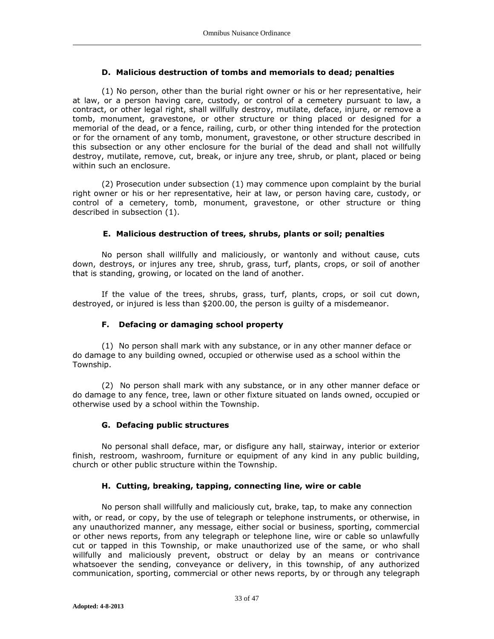## **D. Malicious destruction of tombs and memorials to dead; penalties**

(1) No person, other than the burial right owner or his or her representative, heir at law, or a person having care, custody, or control of a cemetery pursuant to law, a contract, or other legal right, shall willfully destroy, mutilate, deface, injure, or remove a tomb, monument, gravestone, or other structure or thing placed or designed for a memorial of the dead, or a fence, railing, curb, or other thing intended for the protection or for the ornament of any tomb, monument, gravestone, or other structure described in this subsection or any other enclosure for the burial of the dead and shall not willfully destroy, mutilate, remove, cut, break, or injure any tree, shrub, or plant, placed or being within such an enclosure.

(2) Prosecution under subsection (1) may commence upon complaint by the burial right owner or his or her representative, heir at law, or person having care, custody, or control of a cemetery, tomb, monument, gravestone, or other structure or thing described in subsection (1).

## **E. Malicious destruction of trees, shrubs, plants or soil; penalties**

No person shall willfully and maliciously, or wantonly and without cause, cuts down, destroys, or injures any tree, shrub, grass, turf, plants, crops, or soil of another that is standing, growing, or located on the land of another.

If the value of the trees, shrubs, grass, turf, plants, crops, or soil cut down, destroyed, or injured is less than \$200.00, the person is guilty of a misdemeanor.

## **F. Defacing or damaging school property**

(1) No person shall mark with any substance, or in any other manner deface or do damage to any building owned, occupied or otherwise used as a school within the Township.

(2) No person shall mark with any substance, or in any other manner deface or do damage to any fence, tree, lawn or other fixture situated on lands owned, occupied or otherwise used by a school within the Township.

# **G. Defacing public structures**

No personal shall deface, mar, or disfigure any hall, stairway, interior or exterior finish, restroom, washroom, furniture or equipment of any kind in any public building, church or other public structure within the Township.

### **H. Cutting, breaking, tapping, connecting line, wire or cable**

No person shall willfully and maliciously cut, brake, tap, to make any connection with, or read, or copy, by the use of telegraph or telephone instruments, or otherwise, in any unauthorized manner, any message, either social or business, sporting, commercial or other news reports, from any telegraph or telephone line, wire or cable so unlawfully cut or tapped in this Township, or make unauthorized use of the same, or who shall willfully and maliciously prevent, obstruct or delay by an means or contrivance whatsoever the sending, conveyance or delivery, in this township, of any authorized communication, sporting, commercial or other news reports, by or through any telegraph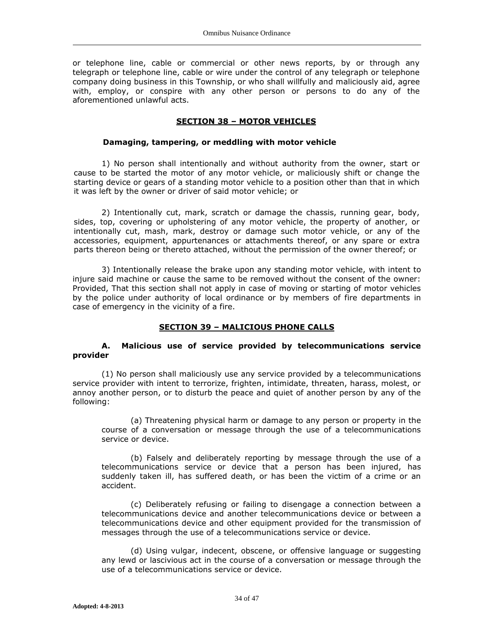or telephone line, cable or commercial or other news reports, by or through any telegraph or telephone line, cable or wire under the control of any telegraph or telephone company doing business in this Township, or who shall willfully and maliciously aid, agree with, employ, or conspire with any other person or persons to do any of the aforementioned unlawful acts.

#### **SECTION 38 – MOTOR VEHICLES**

#### **Damaging, tampering, or meddling with motor vehicle**

1) No person shall intentionally and without authority from the owner, start or cause to be started the motor of any motor vehicle, or maliciously shift or change the starting device or gears of a standing motor vehicle to a position other than that in which it was left by the owner or driver of said motor vehicle; or

2) Intentionally cut, mark, scratch or damage the chassis, running gear, body, sides, top, covering or upholstering of any motor vehicle, the property of another, or intentionally cut, mash, mark, destroy or damage such motor vehicle, or any of the accessories, equipment, appurtenances or attachments thereof, or any spare or extra parts thereon being or thereto attached, without the permission of the owner thereof; or

3) Intentionally release the brake upon any standing motor vehicle, with intent to injure said machine or cause the same to be removed without the consent of the owner: Provided, That this section shall not apply in case of moving or starting of motor vehicles by the police under authority of local ordinance or by members of fire departments in case of emergency in the vicinity of a fire.

### **SECTION 39 – MALICIOUS PHONE CALLS**

## **A. Malicious use of service provided by telecommunications service provider**

(1) No person shall maliciously use any service provided by a telecommunications service provider with intent to terrorize, frighten, intimidate, threaten, harass, molest, or annoy another person, or to disturb the peace and quiet of another person by any of the following:

(a) Threatening physical harm or damage to any person or property in the course of a conversation or message through the use of a telecommunications service or device.

(b) Falsely and deliberately reporting by message through the use of a telecommunications service or device that a person has been injured, has suddenly taken ill, has suffered death, or has been the victim of a crime or an accident.

(c) Deliberately refusing or failing to disengage a connection between a telecommunications device and another telecommunications device or between a telecommunications device and other equipment provided for the transmission of messages through the use of a telecommunications service or device.

(d) Using vulgar, indecent, obscene, or offensive language or suggesting any lewd or lascivious act in the course of a conversation or message through the use of a telecommunications service or device.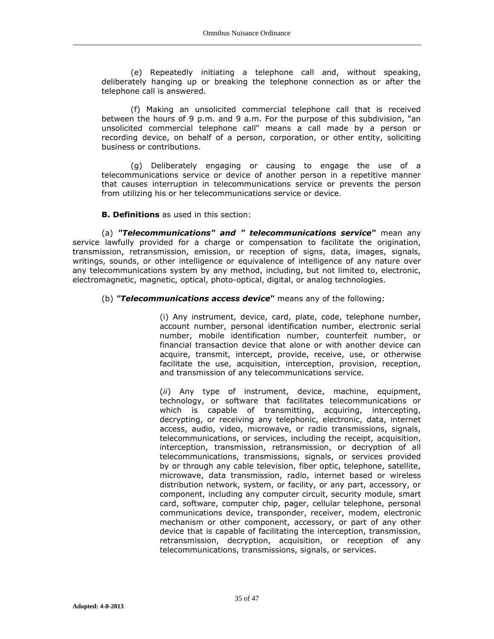(e) Repeatedly initiating a telephone call and, without speaking, deliberately hanging up or breaking the telephone connection as or after the telephone call is answered.

(f) Making an unsolicited commercial telephone call that is received between the hours of 9 p.m. and 9 a.m. For the purpose of this subdivision, "an unsolicited commercial telephone call" means a call made by a person or recording device, on behalf of a person, corporation, or other entity, soliciting business or contributions.

(g) Deliberately engaging or causing to engage the use of a telecommunications service or device of another person in a repetitive manner that causes interruption in telecommunications service or prevents the person from utilizing his or her telecommunications service or device.

## **B. Definitions** as used in this section:

(a) *"Telecommunications" and " telecommunications service***"** mean any service lawfully provided for a charge or compensation to facilitate the origination, transmission, retransmission, emission, or reception of signs, data, images, signals, writings, sounds, or other intelligence or equivalence of intelligence of any nature over any telecommunications system by any method, including, but not limited to, electronic, electromagnetic, magnetic, optical, photo-optical, digital, or analog technologies.

### (b) *"Telecommunications access device***"** means any of the following:

(i) Any instrument, device, card, plate, code, telephone number, account number, personal identification number, electronic serial number, mobile identification number, counterfeit number, or financial transaction device that alone or with another device can acquire, transmit, intercept, provide, receive, use, or otherwise facilitate the use, acquisition, interception, provision, reception, and transmission of any telecommunications service.

(*ii*) Any type of instrument, device, machine, equipment, technology, or software that facilitates telecommunications or which is capable of transmitting, acquiring, intercepting, decrypting, or receiving any telephonic, electronic, data, internet access, audio, video, microwave, or radio transmissions, signals, telecommunications, or services, including the receipt, acquisition, interception, transmission, retransmission, or decryption of all telecommunications, transmissions, signals, or services provided by or through any cable television, fiber optic, telephone, satellite, microwave, data transmission, radio, internet based or wireless distribution network, system, or facility, or any part, accessory, or component, including any computer circuit, security module, smart card, software, computer chip, pager, cellular telephone, personal communications device, transponder, receiver, modem, electronic mechanism or other component, accessory, or part of any other device that is capable of facilitating the interception, transmission, retransmission, decryption, acquisition, or reception of any telecommunications, transmissions, signals, or services.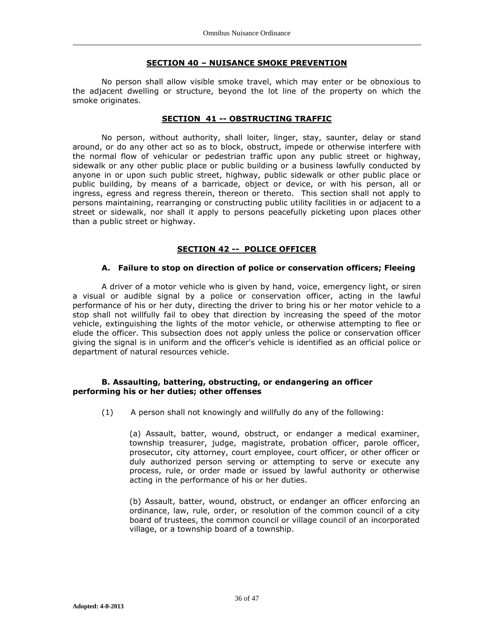#### **SECTION 40 – NUISANCE SMOKE PREVENTION**

No person shall allow visible smoke travel, which may enter or be obnoxious to the adjacent dwelling or structure, beyond the lot line of the property on which the smoke originates.

#### **SECTION 41 -- OBSTRUCTING TRAFFIC**

No person, without authority, shall loiter, linger, stay, saunter, delay or stand around, or do any other act so as to block, obstruct, impede or otherwise interfere with the normal flow of vehicular or pedestrian traffic upon any public street or highway, sidewalk or any other public place or public building or a business lawfully conducted by anyone in or upon such public street, highway, public sidewalk or other public place or public building, by means of a barricade, object or device, or with his person, all or ingress, egress and regress therein, thereon or thereto. This section shall not apply to persons maintaining, rearranging or constructing public utility facilities in or adjacent to a street or sidewalk, nor shall it apply to persons peacefully picketing upon places other than a public street or highway.

### **SECTION 42 -- POLICE OFFICER**

#### **A. Failure to stop on direction of police or conservation officers; Fleeing**

A driver of a motor vehicle who is given by hand, voice, emergency light, or siren a visual or audible signal by a police or conservation officer, acting in the lawful performance of his or her duty, directing the driver to bring his or her motor vehicle to a stop shall not willfully fail to obey that direction by increasing the speed of the motor vehicle, extinguishing the lights of the motor vehicle, or otherwise attempting to flee or elude the officer. This subsection does not apply unless the police or conservation officer giving the signal is in uniform and the officer's vehicle is identified as an official police or department of natural resources vehicle.

#### **B. Assaulting, battering, obstructing, or endangering an officer performing his or her duties; other offenses**

(1) A person shall not knowingly and willfully do any of the following:

(a) Assault, batter, wound, obstruct, or endanger a medical examiner, township treasurer, judge, magistrate, probation officer, parole officer, prosecutor, city attorney, court employee, court officer, or other officer or duly authorized person serving or attempting to serve or execute any process, rule, or order made or issued by lawful authority or otherwise acting in the performance of his or her duties.

(b) Assault, batter, wound, obstruct, or endanger an officer enforcing an ordinance, law, rule, order, or resolution of the common council of a city board of trustees, the common council or village council of an incorporated village, or a township board of a township.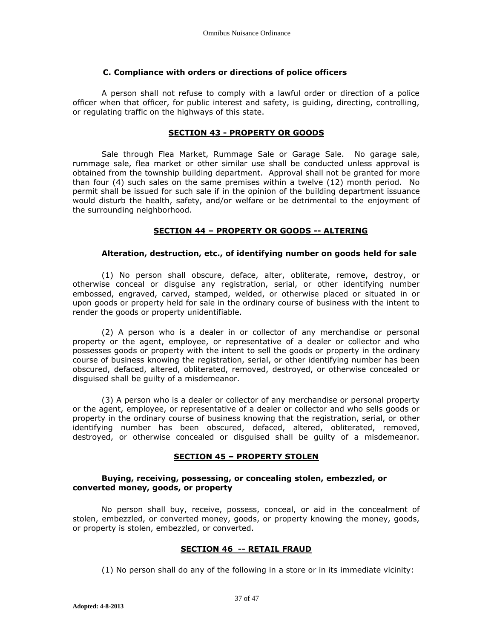### **C. Compliance with orders or directions of police officers**

A person shall not refuse to comply with a lawful order or direction of a police officer when that officer, for public interest and safety, is guiding, directing, controlling, or regulating traffic on the highways of this state.

## **SECTION 43 - PROPERTY OR GOODS**

Sale through Flea Market, Rummage Sale or Garage Sale. No garage sale, rummage sale, flea market or other similar use shall be conducted unless approval is obtained from the township building department. Approval shall not be granted for more than four (4) such sales on the same premises within a twelve (12) month period. No permit shall be issued for such sale if in the opinion of the building department issuance would disturb the health, safety, and/or welfare or be detrimental to the enjoyment of the surrounding neighborhood.

### **SECTION 44 – PROPERTY OR GOODS -- ALTERING**

#### **Alteration, destruction, etc., of identifying number on goods held for sale**

(1) No person shall obscure, deface, alter, obliterate, remove, destroy, or otherwise conceal or disguise any registration, serial, or other identifying number embossed, engraved, carved, stamped, welded, or otherwise placed or situated in or upon goods or property held for sale in the ordinary course of business with the intent to render the goods or property unidentifiable.

(2) A person who is a dealer in or collector of any merchandise or personal property or the agent, employee, or representative of a dealer or collector and who possesses goods or property with the intent to sell the goods or property in the ordinary course of business knowing the registration, serial, or other identifying number has been obscured, defaced, altered, obliterated, removed, destroyed, or otherwise concealed or disguised shall be guilty of a misdemeanor.

(3) A person who is a dealer or collector of any merchandise or personal property or the agent, employee, or representative of a dealer or collector and who sells goods or property in the ordinary course of business knowing that the registration, serial, or other identifying number has been obscured, defaced, altered, obliterated, removed, destroyed, or otherwise concealed or disguised shall be guilty of a misdemeanor.

## **SECTION 45 – PROPERTY STOLEN**

### **Buying, receiving, possessing, or concealing stolen, embezzled, or converted money, goods, or property**

No person shall buy, receive, possess, conceal, or aid in the concealment of stolen, embezzled, or converted money, goods, or property knowing the money, goods, or property is stolen, embezzled, or converted.

### **SECTION 46 -- RETAIL FRAUD**

(1) No person shall do any of the following in a store or in its immediate vicinity: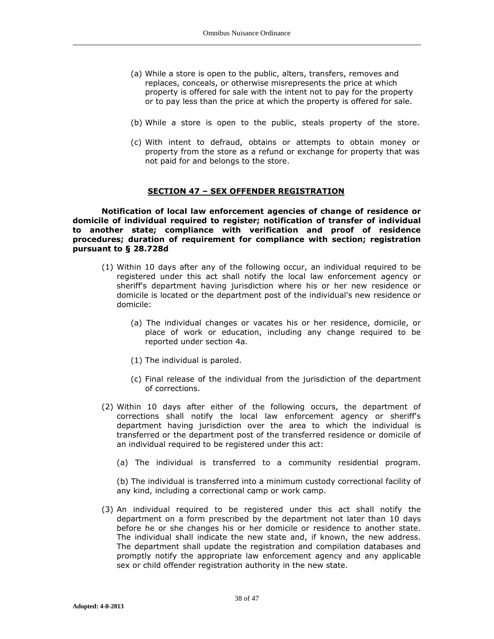- (a) While a store is open to the public, alters, transfers, removes and replaces, conceals, or otherwise misrepresents the price at which property is offered for sale with the intent not to pay for the property or to pay less than the price at which the property is offered for sale.
- (b) While a store is open to the public, steals property of the store.
- (c) With intent to defraud, obtains or attempts to obtain money or property from the store as a refund or exchange for property that was not paid for and belongs to the store.

#### **SECTION 47 – SEX OFFENDER REGISTRATION**

**Notification of local law enforcement agencies of change of residence or domicile of individual required to register; notification of transfer of individual to another state; compliance with verification and proof of residence procedures; duration of requirement for compliance with section; registration pursuant to § 28.728d**

- (1) Within 10 days after any of the following occur, an individual required to be registered under this act shall notify the local law enforcement agency or sheriff's department having jurisdiction where his or her new residence or domicile is located or the department post of the individual's new residence or domicile:
	- (a) The individual changes or vacates his or her residence, domicile, or place of work or education, including any change required to be reported under section 4a.
	- (1) The individual is paroled.
	- (c) Final release of the individual from the jurisdiction of the department of corrections.
- (2) Within 10 days after either of the following occurs, the department of corrections shall notify the local law enforcement agency or sheriff's department having jurisdiction over the area to which the individual is transferred or the department post of the transferred residence or domicile of an individual required to be registered under this act:
	- (a) The individual is transferred to a community residential program.

(b) The individual is transferred into a minimum custody correctional facility of any kind, including a correctional camp or work camp.

(3) An individual required to be registered under this act shall notify the department on a form prescribed by the department not later than 10 days before he or she changes his or her domicile or residence to another state. The individual shall indicate the new state and, if known, the new address. The department shall update the registration and compilation databases and promptly notify the appropriate law enforcement agency and any applicable sex or child offender registration authority in the new state.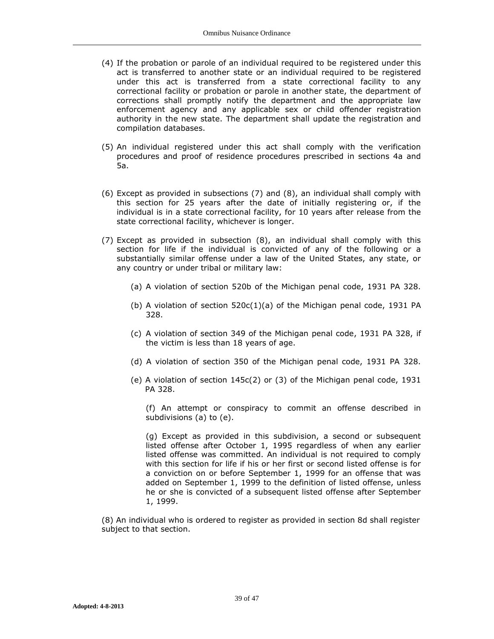- (4) If the probation or parole of an individual required to be registered under this act is transferred to another state or an individual required to be registered under this act is transferred from a state correctional facility to any correctional facility or probation or parole in another state, the department of corrections shall promptly notify the department and the appropriate law enforcement agency and any applicable sex or child offender registration authority in the new state. The department shall update the registration and compilation databases.
- (5) An individual registered under this act shall comply with the verification procedures and proof of residence procedures prescribed in sections 4a and 5a.
- (6) Except as provided in subsections (7) and (8), an individual shall comply with this section for 25 years after the date of initially registering or, if the individual is in a state correctional facility, for 10 years after release from the state correctional facility, whichever is longer.
- (7) Except as provided in subsection (8), an individual shall comply with this section for life if the individual is convicted of any of the following or a substantially similar offense under a law of the United States, any state, or any country or under tribal or military law:
	- (a) A violation of section 520b of the Michigan penal code, 1931 PA 328.
	- (b) A violation of section 520c(1)(a) of the Michigan penal code, 1931 PA 328.
	- (c) A violation of section 349 of the Michigan penal code, 1931 PA 328, if the victim is less than 18 years of age.
	- (d) A violation of section 350 of the Michigan penal code, 1931 PA 328.
	- (e) A violation of section 145c(2) or (3) of the Michigan penal code, 1931 PA 328.

(f) An attempt or conspiracy to commit an offense described in subdivisions (a) to (e).

(g) Except as provided in this subdivision, a second or subsequent listed offense after October 1, 1995 regardless of when any earlier listed offense was committed. An individual is not required to comply with this section for life if his or her first or second listed offense is for a conviction on or before September 1, 1999 for an offense that was added on September 1, 1999 to the definition of listed offense, unless he or she is convicted of a subsequent listed offense after September 1, 1999.

(8) An individual who is ordered to register as provided in section 8d shall register subject to that section.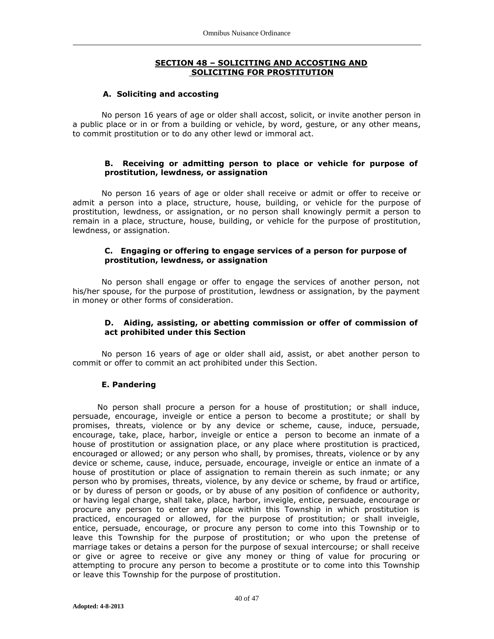### **SECTION 48 – SOLICITING AND ACCOSTING AND SOLICITING FOR PROSTITUTION**

#### **A. Soliciting and accosting**

No person 16 years of age or older shall accost, solicit, or invite another person in a public place or in or from a building or vehicle, by word, gesture, or any other means, to commit prostitution or to do any other lewd or immoral act.

### **B. Receiving or admitting person to place or vehicle for purpose of prostitution, lewdness, or assignation**

No person 16 years of age or older shall receive or admit or offer to receive or admit a person into a place, structure, house, building, or vehicle for the purpose of prostitution, lewdness, or assignation, or no person shall knowingly permit a person to remain in a place, structure, house, building, or vehicle for the purpose of prostitution, lewdness, or assignation.

## **C. Engaging or offering to engage services of a person for purpose of prostitution, lewdness, or assignation**

No person shall engage or offer to engage the services of another person, not his/her spouse, for the purpose of prostitution, lewdness or assignation, by the payment in money or other forms of consideration.

### **D. Aiding, assisting, or abetting commission or offer of commission of act prohibited under this Section**

No person 16 years of age or older shall aid, assist, or abet another person to commit or offer to commit an act prohibited under this Section.

### **E. Pandering**

No person shall procure a person for a house of prostitution; or shall induce, persuade, encourage, inveigle or entice a person to become a prostitute; or shall by promises, threats, violence or by any device or scheme, cause, induce, persuade, encourage, take, place, harbor, inveigle or entice a person to become an inmate of a house of prostitution or assignation place, or any place where prostitution is practiced, encouraged or allowed; or any person who shall, by promises, threats, violence or by any device or scheme, cause, induce, persuade, encourage, inveigle or entice an inmate of a house of prostitution or place of assignation to remain therein as such inmate; or any person who by promises, threats, violence, by any device or scheme, by fraud or artifice, or by duress of person or goods, or by abuse of any position of confidence or authority, or having legal charge, shall take, place, harbor, inveigle, entice, persuade, encourage or procure any person to enter any place within this Township in which prostitution is practiced, encouraged or allowed, for the purpose of prostitution; or shall inveigle, entice, persuade, encourage, or procure any person to come into this Township or to leave this Township for the purpose of prostitution; or who upon the pretense of marriage takes or detains a person for the purpose of sexual intercourse; or shall receive or give or agree to receive or give any money or thing of value for procuring or attempting to procure any person to become a prostitute or to come into this Township or leave this Township for the purpose of prostitution.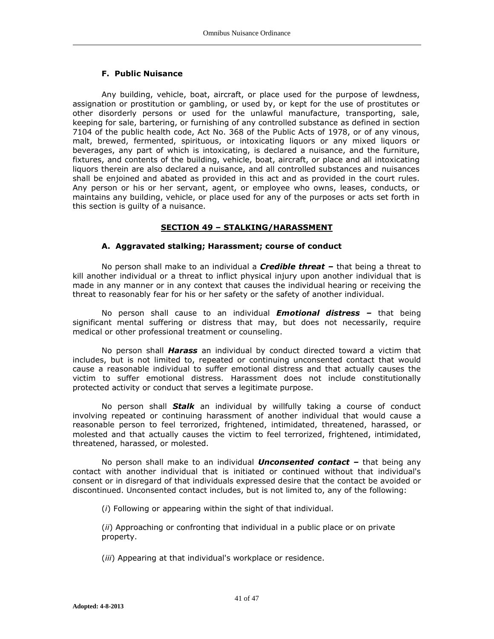# **F. Public Nuisance**

Any building, vehicle, boat, aircraft, or place used for the purpose of lewdness, assignation or prostitution or gambling, or used by, or kept for the use of prostitutes or other disorderly persons or used for the unlawful manufacture, transporting, sale, keeping for sale, bartering, or furnishing of any controlled substance as defined in section 7104 of the public health code, Act No. 368 of the Public Acts of 1978, or of any vinous, malt, brewed, fermented, spirituous, or intoxicating liquors or any mixed liquors or beverages, any part of which is intoxicating, is declared a nuisance, and the furniture, fixtures, and contents of the building, vehicle, boat, aircraft, or place and all intoxicating liquors therein are also declared a nuisance, and all controlled substances and nuisances shall be enjoined and abated as provided in this act and as provided in the court rules. Any person or his or her servant, agent, or employee who owns, leases, conducts, or maintains any building, vehicle, or place used for any of the purposes or acts set forth in this section is guilty of a nuisance.

# **SECTION 49 – STALKING/HARASSMENT**

# **A. Aggravated stalking; Harassment; course of conduct**

No person shall make to an individual a *Credible threat –* that being a threat to kill another individual or a threat to inflict physical injury upon another individual that is made in any manner or in any context that causes the individual hearing or receiving the threat to reasonably fear for his or her safety or the safety of another individual.

No person shall cause to an individual *Emotional distress –* that being significant mental suffering or distress that may, but does not necessarily, require medical or other professional treatment or counseling.

No person shall *Harass* an individual by conduct directed toward a victim that includes, but is not limited to, repeated or continuing unconsented contact that would cause a reasonable individual to suffer emotional distress and that actually causes the victim to suffer emotional distress. Harassment does not include constitutionally protected activity or conduct that serves a legitimate purpose.

No person shall *Stalk* an individual by willfully taking a course of conduct involving repeated or continuing harassment of another individual that would cause a reasonable person to feel terrorized, frightened, intimidated, threatened, harassed, or molested and that actually causes the victim to feel terrorized, frightened, intimidated, threatened, harassed, or molested.

No person shall make to an individual *Unconsented contact –* that being any contact with another individual that is initiated or continued without that individual's consent or in disregard of that individuals expressed desire that the contact be avoided or discontinued. Unconsented contact includes, but is not limited to, any of the following:

(*i*) Following or appearing within the sight of that individual.

(*ii*) Approaching or confronting that individual in a public place or on private property.

(*iii*) Appearing at that individual's workplace or residence.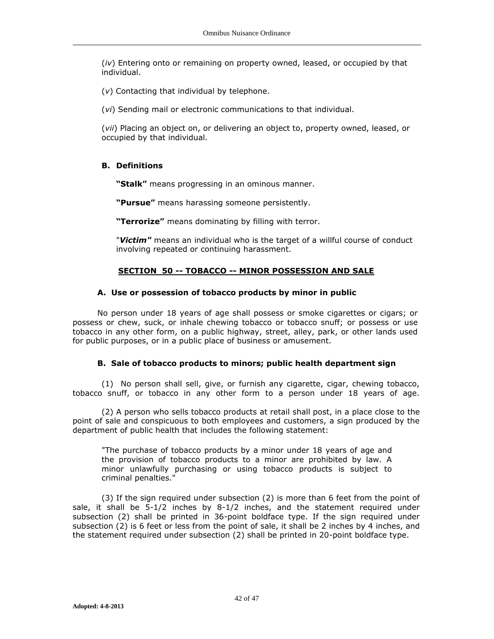(*iv*) Entering onto or remaining on property owned, leased, or occupied by that individual.

(*v*) Contacting that individual by telephone.

(*vi*) Sending mail or electronic communications to that individual.

(*vii*) Placing an object on, or delivering an object to, property owned, leased, or occupied by that individual.

## **B. Definitions**

**"Stalk"** means progressing in an ominous manner.

**"Pursue"** means harassing someone persistently.

**"Terrorize"** means dominating by filling with terror.

"*Victim"* means an individual who is the target of a willful course of conduct involving repeated or continuing harassment.

## **SECTION 50 -- TOBACCO -- MINOR POSSESSION AND SALE**

#### **A. Use or possession of tobacco products by minor in public**

No person under 18 years of age shall possess or smoke cigarettes or cigars; or possess or chew, suck, or inhale chewing tobacco or tobacco snuff; or possess or use tobacco in any other form, on a public highway, street, alley, park, or other lands used for public purposes, or in a public place of business or amusement.

### **B. Sale of tobacco products to minors; public health department sign**

(1) No person shall sell, give, or furnish any cigarette, cigar, chewing tobacco, tobacco snuff, or tobacco in any other form to a person under 18 years of age.

(2) A person who sells tobacco products at retail shall post, in a place close to the point of sale and conspicuous to both employees and customers, a sign produced by the department of public health that includes the following statement:

"The purchase of tobacco products by a minor under 18 years of age and the provision of tobacco products to a minor are prohibited by law. A minor unlawfully purchasing or using tobacco products is subject to criminal penalties."

(3) If the sign required under subsection (2) is more than 6 feet from the point of sale, it shall be  $5-1/2$  inches by  $8-1/2$  inches, and the statement required under subsection (2) shall be printed in 36-point boldface type. If the sign required under subsection (2) is 6 feet or less from the point of sale, it shall be 2 inches by 4 inches, and the statement required under subsection (2) shall be printed in 20-point boldface type.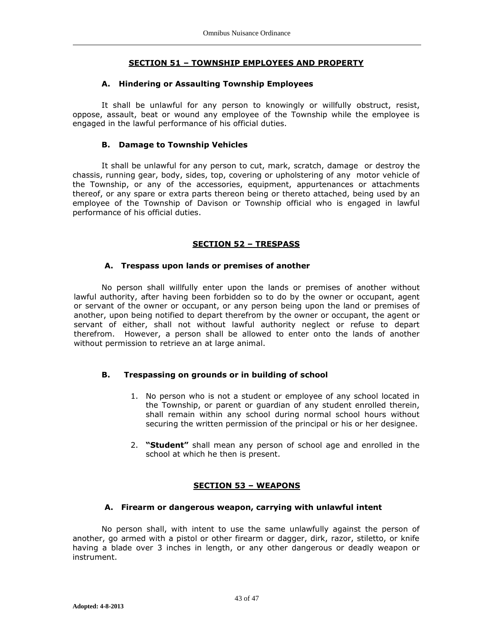# **SECTION 51 – TOWNSHIP EMPLOYEES AND PROPERTY**

## **A. Hindering or Assaulting Township Employees**

It shall be unlawful for any person to knowingly or willfully obstruct, resist, oppose, assault, beat or wound any employee of the Township while the employee is engaged in the lawful performance of his official duties.

## **B. Damage to Township Vehicles**

It shall be unlawful for any person to cut, mark, scratch, damage or destroy the chassis, running gear, body, sides, top, covering or upholstering of any motor vehicle of the Township, or any of the accessories, equipment, appurtenances or attachments thereof, or any spare or extra parts thereon being or thereto attached, being used by an employee of the Township of Davison or Township official who is engaged in lawful performance of his official duties.

# **SECTION 52 – TRESPASS**

## **A. Trespass upon lands or premises of another**

No person shall willfully enter upon the lands or premises of another without lawful authority, after having been forbidden so to do by the owner or occupant, agent or servant of the owner or occupant, or any person being upon the land or premises of another, upon being notified to depart therefrom by the owner or occupant, the agent or servant of either, shall not without lawful authority neglect or refuse to depart therefrom. However, a person shall be allowed to enter onto the lands of another without permission to retrieve an at large animal.

# **B. Trespassing on grounds or in building of school**

- 1. No person who is not a student or employee of any school located in the Township, or parent or guardian of any student enrolled therein, shall remain within any school during normal school hours without securing the written permission of the principal or his or her designee.
- 2. **"Student"** shall mean any person of school age and enrolled in the school at which he then is present.

# **SECTION 53 – WEAPONS**

### **A. Firearm or dangerous weapon, carrying with unlawful intent**

No person shall, with intent to use the same unlawfully against the person of another, go armed with a pistol or other firearm or dagger, dirk, razor, stiletto, or knife having a blade over 3 inches in length, or any other dangerous or deadly weapon or instrument.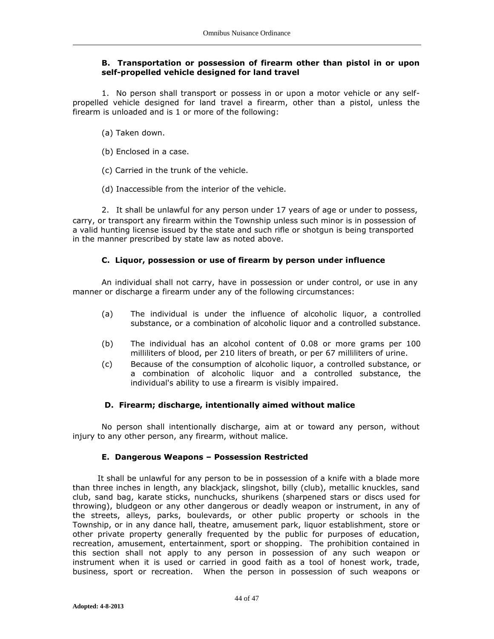## **B. Transportation or possession of firearm other than pistol in or upon self-propelled vehicle designed for land travel**

1. No person shall transport or possess in or upon a motor vehicle or any selfpropelled vehicle designed for land travel a firearm, other than a pistol, unless the firearm is unloaded and is 1 or more of the following:

- (a) Taken down.
- (b) Enclosed in a case.
- (c) Carried in the trunk of the vehicle.
- (d) Inaccessible from the interior of the vehicle.

2. It shall be unlawful for any person under 17 years of age or under to possess, carry, or transport any firearm within the Township unless such minor is in possession of a valid hunting license issued by the state and such rifle or shotgun is being transported in the manner prescribed by state law as noted above.

# **C. Liquor, possession or use of firearm by person under influence**

An individual shall not carry, have in possession or under control, or use in any manner or discharge a firearm under any of the following circumstances:

- (a) The individual is under the influence of alcoholic liquor, a controlled substance, or a combination of alcoholic liquor and a controlled substance.
- (b) The individual has an alcohol content of 0.08 or more grams per 100 milliliters of blood, per 210 liters of breath, or per 67 milliliters of urine.
- (c) Because of the consumption of alcoholic liquor, a controlled substance, or a combination of alcoholic liquor and a controlled substance, the individual's ability to use a firearm is visibly impaired.

# **D. Firearm; discharge, intentionally aimed without malice**

No person shall intentionally discharge, aim at or toward any person, without injury to any other person, any firearm, without malice.

# **E. Dangerous Weapons – Possession Restricted**

It shall be unlawful for any person to be in possession of a knife with a blade more than three inches in length, any blackjack, slingshot, billy (club), metallic knuckles, sand club, sand bag, karate sticks, nunchucks, shurikens (sharpened stars or discs used for throwing), bludgeon or any other dangerous or deadly weapon or instrument, in any of the streets, alleys, parks, boulevards, or other public property or schools in the Township, or in any dance hall, theatre, amusement park, liquor establishment, store or other private property generally frequented by the public for purposes of education, recreation, amusement, entertainment, sport or shopping. The prohibition contained in this section shall not apply to any person in possession of any such weapon or instrument when it is used or carried in good faith as a tool of honest work, trade, business, sport or recreation. When the person in possession of such weapons or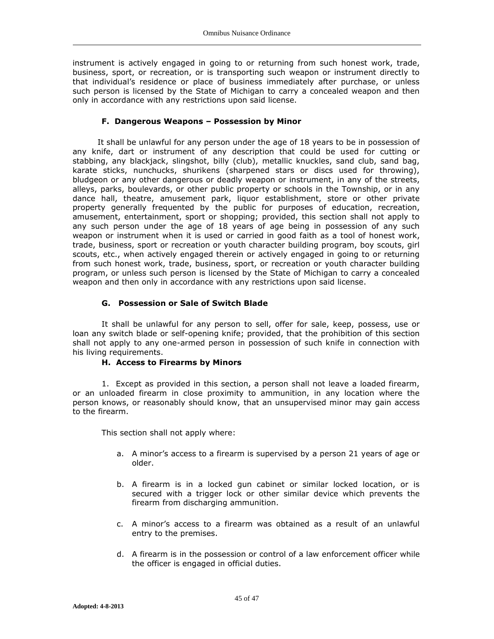instrument is actively engaged in going to or returning from such honest work, trade, business, sport, or recreation, or is transporting such weapon or instrument directly to that individual's residence or place of business immediately after purchase, or unless such person is licensed by the State of Michigan to carry a concealed weapon and then only in accordance with any restrictions upon said license.

## **F. Dangerous Weapons – Possession by Minor**

It shall be unlawful for any person under the age of 18 years to be in possession of any knife, dart or instrument of any description that could be used for cutting or stabbing, any blackjack, slingshot, billy (club), metallic knuckles, sand club, sand bag, karate sticks, nunchucks, shurikens (sharpened stars or discs used for throwing), bludgeon or any other dangerous or deadly weapon or instrument, in any of the streets, alleys, parks, boulevards, or other public property or schools in the Township, or in any dance hall, theatre, amusement park, liquor establishment, store or other private property generally frequented by the public for purposes of education, recreation, amusement, entertainment, sport or shopping; provided, this section shall not apply to any such person under the age of 18 years of age being in possession of any such weapon or instrument when it is used or carried in good faith as a tool of honest work, trade, business, sport or recreation or youth character building program, boy scouts, girl scouts, etc., when actively engaged therein or actively engaged in going to or returning from such honest work, trade, business, sport, or recreation or youth character building program, or unless such person is licensed by the State of Michigan to carry a concealed weapon and then only in accordance with any restrictions upon said license.

# **G. Possession or Sale of Switch Blade**

It shall be unlawful for any person to sell, offer for sale, keep, possess, use or loan any switch blade or self-opening knife; provided, that the prohibition of this section shall not apply to any one-armed person in possession of such knife in connection with his living requirements.

### **H. Access to Firearms by Minors**

1. Except as provided in this section, a person shall not leave a loaded firearm, or an unloaded firearm in close proximity to ammunition, in any location where the person knows, or reasonably should know, that an unsupervised minor may gain access to the firearm.

This section shall not apply where:

- a. A minor's access to a firearm is supervised by a person 21 years of age or older.
- b. A firearm is in a locked gun cabinet or similar locked location, or is secured with a trigger lock or other similar device which prevents the firearm from discharging ammunition.
- c. A minor's access to a firearm was obtained as a result of an unlawful entry to the premises.
- d. A firearm is in the possession or control of a law enforcement officer while the officer is engaged in official duties.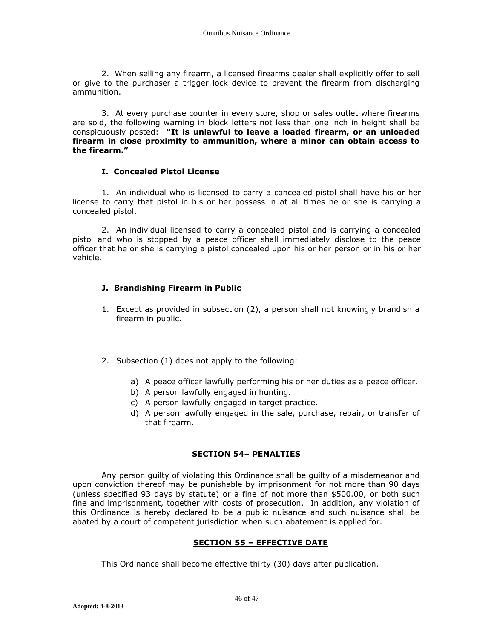2. When selling any firearm, a licensed firearms dealer shall explicitly offer to sell or give to the purchaser a trigger lock device to prevent the firearm from discharging ammunition.

3. At every purchase counter in every store, shop or sales outlet where firearms are sold, the following warning in block letters not less than one inch in height shall be conspicuously posted: **"It is unlawful to leave a loaded firearm, or an unloaded firearm in close proximity to ammunition, where a minor can obtain access to the firearm."**

## **I. Concealed Pistol License**

1. An individual who is licensed to carry a concealed pistol shall have his or her license to carry that pistol in his or her possess in at all times he or she is carrying a concealed pistol.

2. An individual licensed to carry a concealed pistol and is carrying a concealed pistol and who is stopped by a peace officer shall immediately disclose to the peace officer that he or she is carrying a pistol concealed upon his or her person or in his or her vehicle.

# **J. Brandishing Firearm in Public**

- 1. Except as provided in subsection (2), a person shall not knowingly brandish a firearm in public.
- 2. Subsection (1) does not apply to the following:
	- a) A peace officer lawfully performing his or her duties as a peace officer.
	- b) A person lawfully engaged in hunting.
	- c) A person lawfully engaged in target practice.
	- d) A person lawfully engaged in the sale, purchase, repair, or transfer of that firearm.

# **SECTION 54– PENALTIES**

Any person guilty of violating this Ordinance shall be guilty of a misdemeanor and upon conviction thereof may be punishable by imprisonment for not more than 90 days (unless specified 93 days by statute) or a fine of not more than \$500.00, or both such fine and imprisonment, together with costs of prosecution. In addition, any violation of this Ordinance is hereby declared to be a public nuisance and such nuisance shall be abated by a court of competent jurisdiction when such abatement is applied for.

# **SECTION 55 – EFFECTIVE DATE**

This Ordinance shall become effective thirty (30) days after publication.